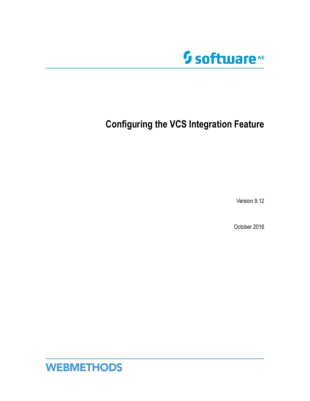

# **Configuring the VCS Integration Feature**

Version 9.12

October 2016

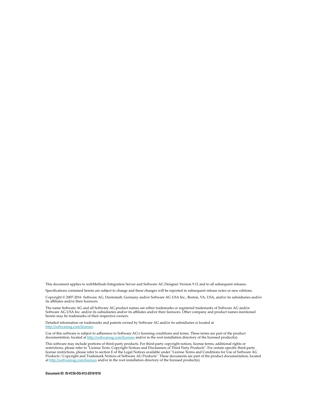This document applies to webMethods Integration Server and Software AG Designer Version 9.12 and to all subsequent releases.

Specifications contained herein are subject to change and these changes will be reported in subsequent release notes or new editions.

Copyright © 2007-2016 Software AG, Darmstadt, Germany and/or Software AG USA Inc., Reston, VA, USA, and/or its subsidiaries and/or its affiliates and/or their licensors.

The name Software AG and all Software AG product names are either trademarks or registered trademarks of Software AG and/or Software AG USA Inc. and/or its subsidiaries and/or its affiliates and/or their licensors. Other company and product names mentioned herein may be trademarks of their respective owners.

Detailed information on trademarks and patents owned by Software AG and/or its subsidiaries is located at http://softwareag.com/licenses.

Use of this software is subject to adherence to Software AG's licensing conditions and terms. These terms are part of the product documentation, located at http://softwareag.com/licenses and/or in the root installation directory of the licensed product(s).

This software may include portions of third-party products. For third-party copyright notices, license terms, additional rights or restrictions, please refer to "License Texts, Copyright Notices and Disclaimers of Third Party Products". For certain specific third-party license restrictions, please refer to section E of the Legal Notices available under "License Terms and Conditions for Use of Software AG Products / Copyright and Trademark Notices of Software AG Products". These documents are part of the product documentation, located at http://softwareag.com/licenses and/or in the root installation directory of the licensed product(s).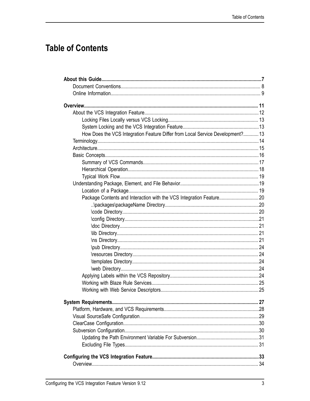# **Table of Contents**

| How Does the VCS Integration Feature Differ from Local Service Development? 13 |     |
|--------------------------------------------------------------------------------|-----|
|                                                                                |     |
|                                                                                |     |
|                                                                                |     |
|                                                                                |     |
|                                                                                |     |
|                                                                                |     |
|                                                                                |     |
|                                                                                |     |
| Package Contents and Interaction with the VCS Integration Feature20            |     |
|                                                                                |     |
|                                                                                |     |
|                                                                                |     |
|                                                                                |     |
|                                                                                |     |
|                                                                                |     |
|                                                                                |     |
|                                                                                |     |
|                                                                                |     |
|                                                                                |     |
|                                                                                |     |
|                                                                                |     |
|                                                                                |     |
| System Requirements                                                            | .27 |
|                                                                                |     |
|                                                                                |     |
|                                                                                |     |
|                                                                                |     |
|                                                                                |     |
|                                                                                |     |
|                                                                                |     |
|                                                                                |     |
|                                                                                |     |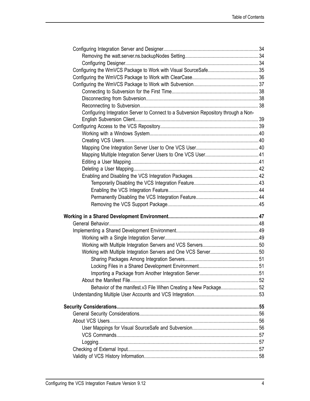| Configuring Integration Server to Connect to a Subversion Repository through a Non- |  |
|-------------------------------------------------------------------------------------|--|
|                                                                                     |  |
|                                                                                     |  |
|                                                                                     |  |
|                                                                                     |  |
|                                                                                     |  |
|                                                                                     |  |
|                                                                                     |  |
|                                                                                     |  |
|                                                                                     |  |
|                                                                                     |  |
|                                                                                     |  |
|                                                                                     |  |
|                                                                                     |  |
|                                                                                     |  |
|                                                                                     |  |
|                                                                                     |  |
|                                                                                     |  |
|                                                                                     |  |
|                                                                                     |  |
|                                                                                     |  |
|                                                                                     |  |
|                                                                                     |  |
|                                                                                     |  |
| Behavior of the manifest.v3 File When Creating a New Package 52                     |  |
|                                                                                     |  |
|                                                                                     |  |
|                                                                                     |  |
|                                                                                     |  |
|                                                                                     |  |
|                                                                                     |  |
|                                                                                     |  |
|                                                                                     |  |
|                                                                                     |  |
|                                                                                     |  |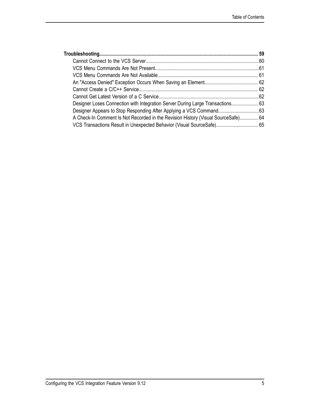| Designer Loses Connection with Integration Server During Large Transactions 63   |  |
|----------------------------------------------------------------------------------|--|
|                                                                                  |  |
| A Check-In Comment Is Not Recorded in the Revision History (Visual SourceSafe)64 |  |
| VCS Transactions Result in Unexpected Behavior (Visual SourceSafe) 65            |  |
|                                                                                  |  |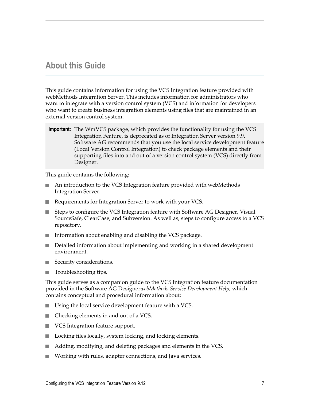# <span id="page-6-0"></span>**About this Guide**

This guide contains information for using the VCS Integration feature provided with webMethods Integration Server. This includes information for administrators who want to integrate with a version control system (VCS) and information for developers who want to create business integration elements using files that are maintained in an external version control system.

**Important:** The WmVCS package, which provides the functionality for using the VCS Integration Feature, is deprecated as of Integration Server version 9.9. Software AG recommends that you use the local service development feature (Local Version Control Integration) to check package elements and their supporting files into and out of a version control system (VCS) directly from Designer.

This guide contains the following:

- An introduction to the VCS Integration feature provided with webMethods n. Integration Server.
- Requirements for Integration Server to work with your VCS.
- Steps to configure the VCS Integration feature with Software AG Designer, Visual m. SourceSafe, ClearCase, and Subversion. As well as, steps to configure access to a VCS repository.
- Information about enabling and disabling the VCS package. П
- Detailed information about implementing and working in a shared development n. environment.
- Security considerations. m.
- Troubleshooting tips. n.

This guide serves as a companion guide to the VCS Integration feature documentation provided in the Software AG Designer*webMethods Service Development Help*, which contains conceptual and procedural information about:

- Using the local service development feature with a VCS. п
- Checking elements in and out of a VCS. m.
- VCS Integration feature support. m.
- Locking files locally, system locking, and locking elements. F.
- Adding, modifying, and deleting packages and elements in the VCS.
- Working with rules, adapter connections, and Java services.m.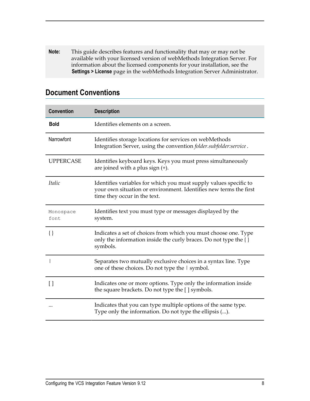**Note:** This guide describes features and functionality that may or may not be available with your licensed version of webMethods Integration Server. For information about the licensed components for your installation, see the **Settings > License** page in the webMethods Integration Server Administrator.

| <b>Convention</b> | <b>Description</b>                                                                                                                                                     |
|-------------------|------------------------------------------------------------------------------------------------------------------------------------------------------------------------|
| <b>Bold</b>       | Identifies elements on a screen.                                                                                                                                       |
| Narrowfont        | Identifies storage locations for services on webMethods<br>Integration Server, using the convention folder.subfolder:service.                                          |
| <b>UPPERCASE</b>  | Identifies keyboard keys. Keys you must press simultaneously<br>are joined with a plus sign $(+)$ .                                                                    |
| Italic            | Identifies variables for which you must supply values specific to<br>your own situation or environment. Identifies new terms the first<br>time they occur in the text. |
| Monospace<br>font | Identifies text you must type or messages displayed by the<br>system.                                                                                                  |
| $\{\}$            | Indicates a set of choices from which you must choose one. Type<br>only the information inside the curly braces. Do not type the $\{\}$<br>symbols.                    |
|                   | Separates two mutually exclusive choices in a syntax line. Type<br>one of these choices. Do not type the I symbol.                                                     |
| $\lceil$          | Indicates one or more options. Type only the information inside<br>the square brackets. Do not type the [ ] symbols.                                                   |
|                   | Indicates that you can type multiple options of the same type.<br>Type only the information. Do not type the ellipsis ().                                              |

### <span id="page-7-0"></span>**Document Conventions**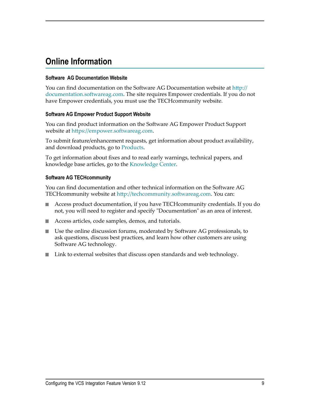# <span id="page-8-0"></span>**Online Information**

### **Software AG Documentation Website**

You can find documentation on the Software AG Documentation website at http:// [documentation.softwareag.com](http://documentation.softwareag.com). The site requires Empower credentials. If you do not have Empower credentials, you must use the TECHcommunity website.

#### **Software AG Empower Product Support Website**

You can find product information on the Software AG Empower Product Support website at https://empower.softwareag.com.

To submit feature/enhancement requests, get information about product availability, and download products, go to [Products](https://empower.softwareag.com/Products/default.asp).

To get information about fixes and to read early warnings, technical papers, and knowledge base articles, go to the [Knowledge](https://empower.softwareag.com/KnowledgeCenter/default.asp) Center.

### **Software AG TECHcommunity**

You can find documentation and other technical information on the Software AG TECH community website at http://techcommunity.softwareag.com. You can:

- Access product documentation, if you have TECHcommunity credentials. If you do П not, you will need to register and specify "Documentation" as an area of interest.
- Access articles, code samples, demos, and tutorials. n.
- Use the online discussion forums, moderated by Software AG professionals, to  $\mathcal{L}_{\mathcal{A}}$ ask questions, discuss best practices, and learn how other customers are using Software AG technology.
- Link to external websites that discuss open standards and web technology.П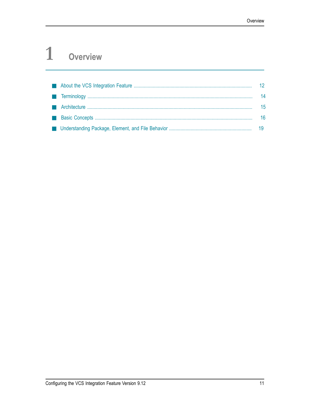### <span id="page-10-0"></span> $\mathbf{1}$ Overview

|  | 12 <sup>°</sup> |
|--|-----------------|
|  | 14              |
|  | 15              |
|  | 16              |
|  |                 |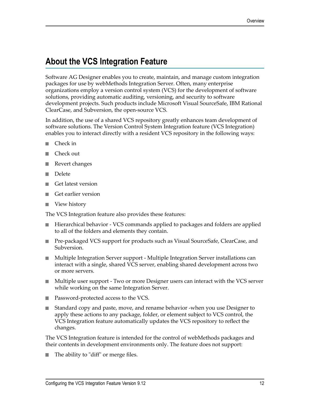# <span id="page-11-0"></span>**About the VCS Integration Feature**

Software AG Designer enables you to create, maintain, and manage custom integration packages for use by webMethods Integration Server. Often, many enterprise organizations employ a version control system (VCS) for the development of software solutions, providing automatic auditing, versioning, and security to software development projects. Such products include Microsoft Visual SourceSafe, IBM Rational ClearCase, and Subversion, the open-source VCS.

In addition, the use of a shared VCS repository greatly enhances team development of software solutions. The Version Control System Integration feature (VCS Integration) enables you to interact directly with a resident VCS repository in the following ways:

- Check in П
- п Check out
- Revert changes
- Delete m.
- Get latest version m.
- Get earlier version m.
- View history П

The VCS Integration feature also provides these features:

- Hierarchical behavior VCS commands applied to packages and folders are applied n. to all of the folders and elements they contain.
- Pre-packaged VCS support for products such as Visual SourceSafe, ClearCase, and **College** Subversion.
- Multiple Integration Server support Multiple Integration Server installations can interact with a single, shared VCS server, enabling shared development across two or more servers.
- Multiple user support Two or more Designer users can interact with the VCS server while working on the same Integration Server.
- Password-protected access to the VCS.
- Standard copy and paste, move, and rename behavior -when you use Designer to apply these actions to any package, folder, or element subject to VCS control, the VCS Integration feature automatically updates the VCS repository to reflect the changes.

The VCS Integration feature is intended for the control of webMethods packages and their contents in development environments only. The feature does not support:

The ability to "diff" or merge files.T.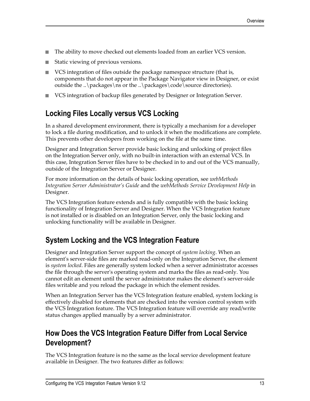- п The ability to move checked out elements loaded from an earlier VCS version.
- Static viewing of previous versions. T.
- VCS integration of files outside the package namespace structure (that is, n. components that do not appear in the Package Navigator view in Designer, or exist outside the ..\packages\ns or the ..\packages\code\source directories).
- VCS integration of backup files generated by Designer or Integration Server. П

## <span id="page-12-0"></span>**Locking Files Locally versus VCS Locking**

In a shared development environment, there is typically a mechanism for a developer to lock a file during modification, and to unlock it when the modifications are complete. This prevents other developers from working on the file at the same time.

Designer and Integration Server provide basic locking and unlocking of project files on the Integration Server only, with no built-in interaction with an external VCS. In this case, Integration Server files have to be checked in to and out of the VCS manually, outside of the Integration Server or Designer.

For more information on the details of basic locking operation, see *webMethods Integration Server Administrator's Guide* and the *webMethods Service Development Help* in Designer.

The VCS Integration feature extends and is fully compatible with the basic locking functionality of Integration Server and Designer. When the VCS Integration feature is not installed or is disabled on an Integration Server, only the basic locking and unlocking functionality will be available in Designer.

## <span id="page-12-1"></span>**System Locking and the VCS Integration Feature**

Designer and Integration Server support the concept of *system locking*. When an element's server-side files are marked read-only on the Integration Server, the element is *system locked*. Files are generally system locked when a server administrator accesses the file through the server's operating system and marks the files as read-only. You cannot edit an element until the server administrator makes the element's server-side files writable and you reload the package in which the element resides.

When an Integration Server has the VCS Integration feature enabled, system locking is effectively disabled for elements that are checked into the version control system with the VCS Integration feature. The VCS Integration feature will override any read/write status changes applied manually by a server administrator.

### <span id="page-12-2"></span>**How Does the VCS Integration Feature Differ from Local Service Development?**

The VCS Integration feature is no the same as the local service development feature available in Designer. The two features differ as follows: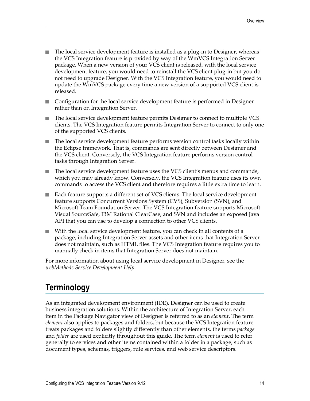- The local service development feature is installed as a plug-in to Designer, whereas the VCS Integration feature is provided by way of the WmVCS Integration Server package. When a new version of your VCS client is released, with the local service development feature, you would need to reinstall the VCS client plug-in but you do not need to upgrade Designer. With the VCS Integration feature, you would need to update the WmVCS package every time a new version of a supported VCS client is released.
- n. Configuration for the local service development feature is performed in Designer rather than on Integration Server.
- The local service development feature permits Designer to connect to multiple VCS T. clients. The VCS Integration feature permits Integration Server to connect to only one of the supported VCS clients.
- F. The local service development feature performs version control tasks locally within the Eclipse framework. That is, commands are sent directly between Designer and the VCS client. Conversely, the VCS Integration feature performs version control tasks through Integration Server.
- The local service development feature uses the VCS client's menus and commands, n. which you may already know. Conversely, the VCS Integration feature uses its own commands to access the VCS client and therefore requires a little extra time to learn.
- Each feature supports a different set of VCS clients. The local service development feature supports Concurrent Versions System (CVS), Subversion (SVN), and Microsoft Team Foundation Server. The VCS Integration feature supports Microsoft Visual SourceSafe, IBM Rational ClearCase, and SVN and includes an exposed Java API that you can use to develop a connection to other VCS clients.
- With the local service development feature, you can check in all contents of a package, including Integration Server assets and other items that Integration Server does not maintain, such as HTML files. The VCS Integration feature requires you to manually check in items that Integration Server does not maintain.

For more information about using local service development in Designer, see the *webMethods Service Development Help*.

# <span id="page-13-0"></span>**Terminology**

As an integrated development environment (IDE), Designer can be used to create business integration solutions. Within the architecture of Integration Server, each item in the Package Navigator view of Designer is referred to as an *element*. The term *element* also applies to packages and folders, but because the VCS Integration feature treats packages and folders slightly differently than other elements, the terms *package* and *folder* are used explicitly throughout this guide. The term *element* is used to refer generally to services and other items contained within a folder in a package, such as document types, schemas, triggers, rule services, and web service descriptors.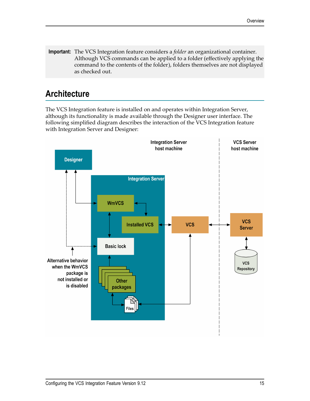**Important:** The VCS Integration feature considers a *folder* an organizational container. Although VCS commands can be applied to a folder (effectively applying the command to the contents of the folder), folders themselves are not displayed as checked out.

# <span id="page-14-0"></span>**Architecture**

The VCS Integration feature is installed on and operates within Integration Server, although its functionality is made available through the Designer user interface. The following simplified diagram describes the interaction of the VCS Integration feature with Integration Server and Designer:

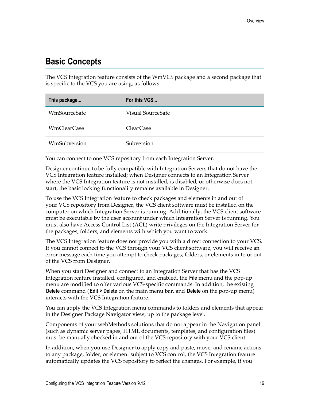# <span id="page-15-0"></span>**Basic Concepts**

The VCS Integration feature consists of the WmVCS package and a second package that is specific to the VCS you are using, as follows:

| This package       | For this VCS      |
|--------------------|-------------------|
| WmSourceSafe       | Visual SourceSafe |
| <b>WmClearCase</b> | ClearCase         |
| WmSubversion       | Subversion        |

You can connect to one VCS repository from each Integration Server.

Designer continue to be fully compatible with Integration Servers that do not have the VCS Integration feature installed; when Designer connects to an Integration Server where the VCS Integration feature is not installed, is disabled, or otherwise does not start, the basic locking functionality remains available in Designer.

To use the VCS Integration feature to check packages and elements in and out of your VCS repository from Designer, the VCS client software must be installed on the computer on which Integration Server is running. Additionally, the VCS client software must be executable by the user account under which Integration Server is running. You must also have Access Control List (ACL) write privileges on the Integration Server for the packages, folders, and elements with which you want to work.

The VCS Integration feature does not provide you with a direct connection to your VCS. If you cannot connect to the VCS through your VCS client software, you will receive an error message each time you attempt to check packages, folders, or elements in to or out of the VCS from Designer.

When you start Designer and connect to an Integration Server that has the VCS Integration feature installed, configured, and enabled, the **File** menu and the pop-up menu are modified to offer various VCS-specific commands. In addition, the existing **Delete** command (**Edit > Delete** on the main menu bar, and **Delete** on the pop-up menu) interacts with the VCS Integration feature.

You can apply the VCS Integration menu commands to folders and elements that appear in the Designer Package Navigator view, up to the package level.

Components of your webMethods solutions that do not appear in the Navigation panel (such as dynamic server pages, HTML documents, templates, and configuration files) must be manually checked in and out of the VCS repository with your VCS client.

In addition, when you use Designer to apply copy and paste, move, and rename actions to any package, folder, or element subject to VCS control, the VCS Integration feature automatically updates the VCS repository to reflect the changes. For example, if you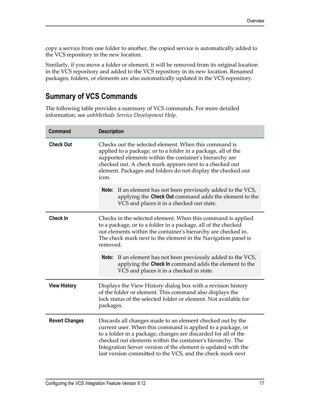copy a service from one folder to another, the copied service is automatically added to the VCS repository in the new location.

Similarly, if you move a folder or element, it will be removed from its original location in the VCS repository and added to the VCS repository in its new location. Renamed packages, folders, or elements are also automatically updated in the VCS repository.

### <span id="page-16-0"></span>**Summary of VCS Commands**

The following table provides a summary of VCS commands. For more detailed information, see *webMethods Service Development Help*.

| <b>Command</b>                                                                                                                                                                                                                                                                                 | <b>Description</b>                                                                                                                                                                                                                                                                                                                                                                                                                                                                                   |  |
|------------------------------------------------------------------------------------------------------------------------------------------------------------------------------------------------------------------------------------------------------------------------------------------------|------------------------------------------------------------------------------------------------------------------------------------------------------------------------------------------------------------------------------------------------------------------------------------------------------------------------------------------------------------------------------------------------------------------------------------------------------------------------------------------------------|--|
| <b>Check Out</b>                                                                                                                                                                                                                                                                               | Checks out the selected element. When this command is<br>applied to a package, or to a folder in a package, all of the<br>supported elements within the container's hierarchy are<br>checked out. A check mark appears next to a checked out<br>element. Packages and folders do not display the checked out<br>icon.<br><b>Note:</b> If an element has not been previously added to the VCS,<br>applying the Check Out command adds the element to the<br>VCS and places it in a checked out state. |  |
| <b>Check In</b><br>Checks in the selected element. When this command is applied<br>to a package, or to a folder in a package, all of the checked<br>out elements within the container's hierarchy are checked in.<br>The check mark next to the element in the Navigation panel is<br>removed. |                                                                                                                                                                                                                                                                                                                                                                                                                                                                                                      |  |
|                                                                                                                                                                                                                                                                                                | <b>Note:</b> If an element has not been previously added to the VCS,<br>applying the Check In command adds the element to the<br>VCS and places it in a checked in state.                                                                                                                                                                                                                                                                                                                            |  |
| <b>View History</b>                                                                                                                                                                                                                                                                            | Displays the View History dialog box with a revision history<br>of the folder or element. This command also displays the<br>lock status of the selected folder or element. Not available for<br>packages.                                                                                                                                                                                                                                                                                            |  |
| <b>Revert Changes</b>                                                                                                                                                                                                                                                                          | Discards all changes made to an element checked out by the<br>current user. When this command is applied to a package, or<br>to a folder in a package, changes are discarded for all of the<br>checked out elements within the container's hierarchy. The<br>Integration Server version of the element is updated with the<br>last version committed to the VCS, and the check mark next                                                                                                             |  |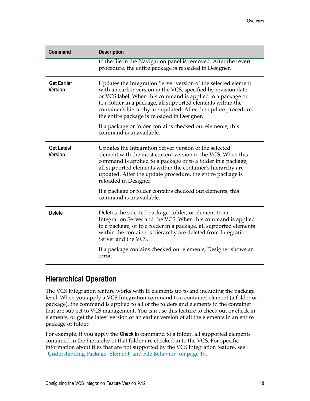| <b>Command</b>                       | <b>Description</b>                                                                                                                                                                                                                                                                                                                                                             |
|--------------------------------------|--------------------------------------------------------------------------------------------------------------------------------------------------------------------------------------------------------------------------------------------------------------------------------------------------------------------------------------------------------------------------------|
|                                      | to the file in the Navigation panel is removed. After the revert<br>procedure, the entire package is reloaded in Designer.                                                                                                                                                                                                                                                     |
| <b>Get Earlier</b><br><b>Version</b> | Updates the Integration Server version of the selected element<br>with an earlier version in the VCS, specified by revision date<br>or VCS label. When this command is applied to a package or<br>to a folder in a package, all supported elements within the<br>container's hierarchy are updated. After the update procedure,<br>the entire package is reloaded in Designer. |
|                                      | If a package or folder contains checked out elements, this<br>command is unavailable.                                                                                                                                                                                                                                                                                          |
| <b>Get Latest</b><br><b>Version</b>  | Updates the Integration Server version of the selected<br>element with the most current version in the VCS. When this<br>command is applied to a package or to a folder in a package,<br>all supported elements within the container's hierarchy are<br>updated. After the update procedure, the entire package is<br>reloaded in Designer.                                    |
|                                      | If a package or folder contains checked out elements, this<br>command is unavailable.                                                                                                                                                                                                                                                                                          |
| <b>Delete</b>                        | Deletes the selected package, folder, or element from<br>Integration Server and the VCS. When this command is applied<br>to a package, or to a folder in a package, all supported elements<br>within the container's hierarchy are deleted from Integration<br>Server and the VCS.                                                                                             |
|                                      | If a package contains checked out elements, Designer shows an<br>error.                                                                                                                                                                                                                                                                                                        |

### <span id="page-17-0"></span>**Hierarchical Operation**

The VCS Integration feature works with IS elements up to and including the package level. When you apply a VCS Integration command to a container element (a folder or package), the command is applied to all of the folders and elements in the container that are subject to VCS management. You can use this feature to check out or check in elements, or get the latest version or an earlier version of all the elements in an entire package or folder

For example, if you apply the **Check In** command to a folder, all supported elements contained in the hierarchy of that folder are checked in to the VCS. For specific information about files that are not supported by the VCS Integration feature, see ["Understanding](#page-18-1) Package, Element, and File Behavior" on page 19.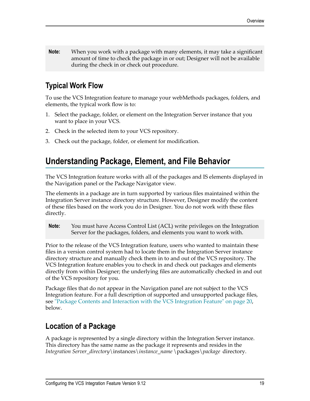**Note:** When you work with a package with many elements, it may take a significant amount of time to check the package in or out; Designer will not be available during the check in or check out procedure.

# <span id="page-18-0"></span>**Typical Work Flow**

To use the VCS Integration feature to manage your webMethods packages, folders, and elements, the typical work flow is to:

- 1. Select the package, folder, or element on the Integration Server instance that you want to place in your VCS.
- 2. Check in the selected item to your VCS repository.
- 3. Check out the package, folder, or element for modification.

# <span id="page-18-1"></span>**Understanding Package, Element, and File Behavior**

The VCS Integration feature works with all of the packages and IS elements displayed in the Navigation panel or the Package Navigator view.

The elements in a package are in turn supported by various files maintained within the Integration Server instance directory structure. However, Designer modify the content of these files based on the work you do in Designer. You do not work with these files directly.

**Note:** You must have Access Control List (ACL) write privileges on the Integration Server for the packages, folders, and elements you want to work with.

Prior to the release of the VCS Integration feature, users who wanted to maintain these files in a version control system had to locate them in the Integration Server instance directory structure and manually check them in to and out of the VCS repository. The VCS Integration feature enables you to check in and check out packages and elements directly from within Designer; the underlying files are automatically checked in and out of the VCS repository for you.

Package files that do not appear in the Navigation panel are not subject to the VCS Integration feature. For a full description of supported and unsupported package files, see "Package Contents and Interaction with the VCS [Integration](#page-19-0) Feature" on page 20, below.

# <span id="page-18-2"></span>**Location of a Package**

A package is represented by a single directory within the Integration Server instance. This directory has the same name as the package it represents and resides in the *Integration Server\_directory*\instances\*instance\_name* \packages\*package* directory.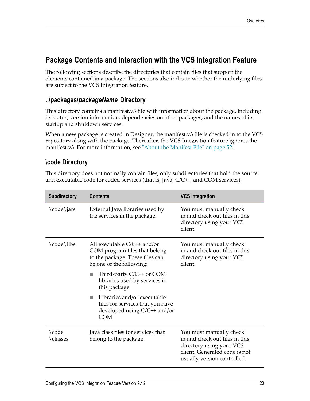### <span id="page-19-0"></span>**Package Contents and Interaction with the VCS Integration Feature**

The following sections describe the directories that contain files that support the elements contained in a package. The sections also indicate whether the underlying files are subject to the VCS Integration feature.

### <span id="page-19-1"></span>**..\packages\***packageName* **Directory**

This directory contains a manifest.v3 file with information about the package, including its status, version information, dependencies on other packages, and the names of its startup and shutdown services.

When a new package is created in Designer, the manifest.v3 file is checked in to the VCS repository along with the package. Thereafter, the VCS Integration feature ignores the manifest.v3. For more information, see ["About the Manifest File" on page 52.](#page-51-0)

### <span id="page-19-2"></span>**\code Directory**

This directory does not normally contain files, only subdirectories that hold the source and executable code for coded services (that is, Java, C/C++, and COM services).

| <b>Subdirectory</b> | <b>Contents</b>                                                                                                               | <b>VCS Integration</b>                                                                                                                                |
|---------------------|-------------------------------------------------------------------------------------------------------------------------------|-------------------------------------------------------------------------------------------------------------------------------------------------------|
| \code\jars          | External Java libraries used by<br>the services in the package.                                                               | You must manually check<br>in and check out files in this<br>directory using your VCS<br>client.                                                      |
| \code\libs          | All executable $C/C++$ and/or<br>COM program files that belong<br>to the package. These files can<br>be one of the following: | You must manually check<br>in and check out files in this<br>directory using your VCS<br>client.                                                      |
|                     | Third-party C/C++ or COM<br>n.<br>libraries used by services in<br>this package                                               |                                                                                                                                                       |
|                     | Libraries and/or executable<br><b>I</b><br>files for services that you have<br>developed using C/C++ and/or<br><b>COM</b>     |                                                                                                                                                       |
| \code<br>\classes   | Java class files for services that<br>belong to the package.                                                                  | You must manually check<br>in and check out files in this<br>directory using your VCS<br>client. Generated code is not<br>usually version controlled. |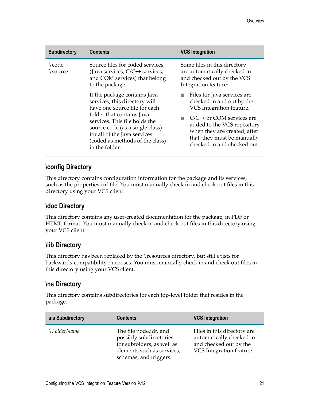| <b>Subdirectory</b> | <b>Contents</b>                                                                                                                                                                                                                                                                      | <b>VCS Integration</b>                                                                                                                                                                                                                            |
|---------------------|--------------------------------------------------------------------------------------------------------------------------------------------------------------------------------------------------------------------------------------------------------------------------------------|---------------------------------------------------------------------------------------------------------------------------------------------------------------------------------------------------------------------------------------------------|
| code<br>source      | Source files for coded services<br>(Java services, C/C++ services,<br>and COM services) that belong<br>to the package.                                                                                                                                                               | Some files in this directory<br>are automatically checked in<br>and checked out by the VCS<br>Integration feature:                                                                                                                                |
|                     | If the package contains Java<br>services, this directory will<br>have one source file for each<br>folder that contains Java<br>services. This file holds the<br>source code (as a single class)<br>for all of the Java services<br>(coded as methods of the class)<br>in the folder. | Files for Java services are<br>checked in and out by the<br>VCS Integration feature.<br>$C/C$ ++ or COM services are<br>added to the VCS repository<br>when they are created; after<br>that, they must be manually<br>checked in and checked out. |

### <span id="page-20-0"></span>**\config Directory**

This directory contains configuration information for the package and its services, such as the properties.cnf file. You must manually check in and check out files in this directory using your VCS client.

### <span id="page-20-1"></span>**\doc Directory**

This directory contains any user-created documentation for the package, in PDF or HTML format. You must manually check in and check out files in this directory using your VCS client.

### <span id="page-20-2"></span>**\lib Directory**

This directory has been replaced by the \resources directory, but still exists for backwards-compatibility purposes. You must manually check in and check out files in this directory using your VCS client.

### <span id="page-20-3"></span>**\ns Directory**

This directory contains subdirectories for each top-level folder that resides in the package.

| <b>\ns Subdirectory</b> | <b>Contents</b>                                                                                                                         | <b>VCS Integration</b>                                                                                        |
|-------------------------|-----------------------------------------------------------------------------------------------------------------------------------------|---------------------------------------------------------------------------------------------------------------|
| ∖FolderName             | The file node.idf, and<br>possibly subdirectories<br>for subfolders, as well as<br>elements such as services,<br>schemas, and triggers. | Files in this directory are<br>automatically checked in<br>and checked out by the<br>VCS Integration feature. |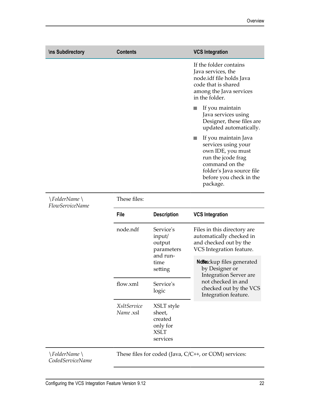| <b>\ns Subdirectory</b> | <b>Contents</b> | <b>VCS Integration</b>                                                                                                                                                       |
|-------------------------|-----------------|------------------------------------------------------------------------------------------------------------------------------------------------------------------------------|
|                         |                 | If the folder contains<br>Java services, the<br>node.idf file holds Java<br>code that is shared<br>among the Java services<br>in the folder.                                 |
|                         |                 | If you maintain<br>Java services using<br>Designer, these files are<br>updated automatically.                                                                                |
|                         |                 | If you maintain Java<br>services using your<br>own IDE, you must<br>run the jcode frag<br>command on the<br>folder's Java source file<br>before you check in the<br>package. |

| \FolderName\<br><b>FlowServiceName</b>   | These files:                           |                                                                        |                                                                                                               |  |
|------------------------------------------|----------------------------------------|------------------------------------------------------------------------|---------------------------------------------------------------------------------------------------------------|--|
|                                          | <b>File</b>                            | <b>Description</b>                                                     | <b>VCS Integration</b>                                                                                        |  |
|                                          | node.ndf                               | Service's<br>input/<br>output<br>parameters                            | Files in this directory are<br>automatically checked in<br>and checked out by the<br>VCS Integration feature. |  |
|                                          |                                        | and run-<br>time<br>setting                                            | Ndieckup files generated<br>by Designer or<br><b>Integration Server are</b>                                   |  |
|                                          | flow.xml                               | Service's<br>logic                                                     | not checked in and<br>checked out by the VCS<br>Integration feature.                                          |  |
|                                          | <i><b>XsltService</b></i><br>Name .xsl | XSLT style<br>sheet,<br>created<br>only for<br><b>XSLT</b><br>services |                                                                                                               |  |
| <i>\FolderName \</i><br>CodedServiceName |                                        |                                                                        | These files for coded (Java, $C/C^{++}$ , or COM) services:                                                   |  |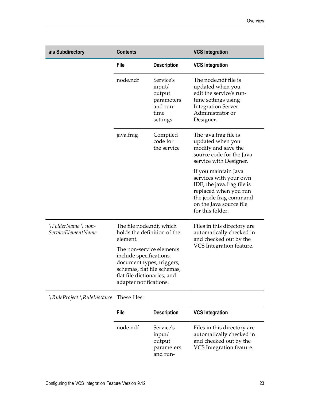| <b>\ns Subdirectory</b>                | <b>Contents</b>                                                                                                                                                          |                                                                             | <b>VCS Integration</b>                                                                                                                                                         |
|----------------------------------------|--------------------------------------------------------------------------------------------------------------------------------------------------------------------------|-----------------------------------------------------------------------------|--------------------------------------------------------------------------------------------------------------------------------------------------------------------------------|
|                                        | <b>File</b>                                                                                                                                                              | <b>Description</b>                                                          | <b>VCS Integration</b>                                                                                                                                                         |
|                                        | node.ndf                                                                                                                                                                 | Service's<br>input/<br>output<br>parameters<br>and run-<br>time<br>settings | The node.ndf file is<br>updated when you<br>edit the service's run-<br>time settings using<br><b>Integration Server</b><br>Administrator or<br>Designer.                       |
|                                        | java.frag                                                                                                                                                                | Compiled<br>code for<br>the service                                         | The java.frag file is<br>updated when you<br>modify and save the<br>source code for the Java<br>service with Designer.                                                         |
|                                        |                                                                                                                                                                          |                                                                             | If you maintain Java<br>services with your own<br>IDE, the java.frag file is<br>replaced when you run<br>the jcode frag command<br>on the Java source file<br>for this folder. |
| \FolderName\non-<br>ServiceElementName | element.                                                                                                                                                                 | The file node.ndf, which<br>holds the definition of the                     | Files in this directory are<br>automatically checked in<br>and checked out by the                                                                                              |
|                                        | The non-service elements<br>include specifications,<br>document types, triggers,<br>schemas, flat file schemas,<br>flat file dictionaries, and<br>adapter notifications. |                                                                             | VCS Integration feature.                                                                                                                                                       |

These files: \*RuleProject* \*RuleInstance*

| File     | <b>Description</b>                                      | <b>VCS Integration</b>                                                                                        |
|----------|---------------------------------------------------------|---------------------------------------------------------------------------------------------------------------|
| node.ndf | Service's<br>input/<br>output<br>parameters<br>and run- | Files in this directory are<br>automatically checked in<br>and checked out by the<br>VCS Integration feature. |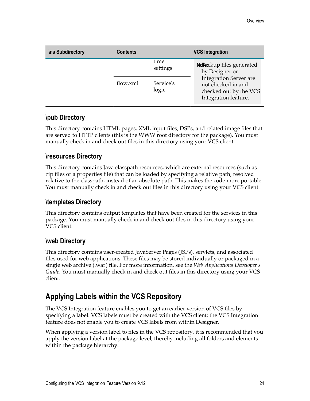| <b>\ns Subdirectory</b> | <b>Contents</b> |                    | <b>VCS Integration</b>                                                                                |
|-------------------------|-----------------|--------------------|-------------------------------------------------------------------------------------------------------|
|                         |                 | time<br>settings   | Ndeckup files generated<br>by Designer or                                                             |
|                         | flow.xml        | Service's<br>logic | <b>Integration Server are</b><br>not checked in and<br>checked out by the VCS<br>Integration feature. |

### <span id="page-23-0"></span>**\pub Directory**

This directory contains HTML pages, XML input files, DSPs, and related image files that are served to HTTP clients (this is the WWW root directory for the package). You must manually check in and check out files in this directory using your VCS client.

### <span id="page-23-1"></span>**\resources Directory**

This directory contains Java classpath resources, which are external resources (such as zip files or a properties file) that can be loaded by specifying a relative path, resolved relative to the classpath, instead of an absolute path. This makes the code more portable. You must manually check in and check out files in this directory using your VCS client.

### <span id="page-23-2"></span>**\templates Directory**

This directory contains output templates that have been created for the services in this package. You must manually check in and check out files in this directory using your VCS client.

### <span id="page-23-3"></span>**\web Directory**

This directory contains user-created JavaServer Pages (JSPs), servlets, and associated files used for web applications. These files may be stored individually or packaged in a single web archive (.war) file. For more information, see the *Web Applications Developer's Guide*. You must manually check in and check out files in this directory using your VCS client.

## <span id="page-23-4"></span>**Applying Labels within the VCS Repository**

The VCS Integration feature enables you to get an earlier version of VCS files by specifying a label. VCS labels must be created with the VCS client; the VCS Integration feature does not enable you to create VCS labels from within Designer.

When applying a version label to files in the VCS repository, it is recommended that you apply the version label at the package level, thereby including all folders and elements within the package hierarchy.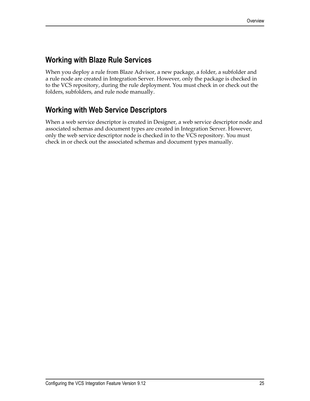## <span id="page-24-0"></span>**Working with Blaze Rule Services**

When you deploy a rule from Blaze Advisor, a new package, a folder, a subfolder and a rule node are created in Integration Server. However, only the package is checked in to the VCS repository, during the rule deployment. You must check in or check out the folders, subfolders, and rule node manually.

# <span id="page-24-1"></span>**Working with Web Service Descriptors**

When a web service descriptor is created in Designer, a web service descriptor node and associated schemas and document types are created in Integration Server. However, only the web service descriptor node is checked in to the VCS repository. You must check in or check out the associated schemas and document types manually.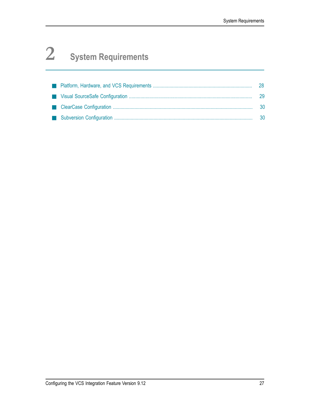# <span id="page-26-0"></span>**2 System Requirements**

|  | 28   |
|--|------|
|  | - 29 |
|  | -30  |
|  | - 30 |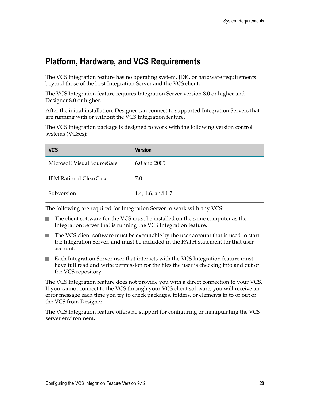# <span id="page-27-0"></span>**Platform, Hardware, and VCS Requirements**

The VCS Integration feature has no operating system, JDK, or hardware requirements beyond those of the host Integration Server and the VCS client.

The VCS Integration feature requires Integration Server version 8.0 or higher and Designer 8.0 or higher.

After the initial installation, Designer can connect to supported Integration Servers that are running with or without the VCS Integration feature.

The VCS Integration package is designed to work with the following version control systems (VCSes):

| <b>VCS</b>                    | <b>Version</b>    |
|-------------------------------|-------------------|
| Microsoft Visual SourceSafe   | 6.0 and 2005      |
| <b>IBM Rational ClearCase</b> | 7.0               |
| Subversion                    | 1.4, 1.6, and 1.7 |

The following are required for Integration Server to work with any VCS:

- The client software for the VCS must be installed on the same computer as the Integration Server that is running the VCS Integration feature.
- The VCS client software must be executable by the user account that is used to start n. the Integration Server, and must be included in the PATH statement for that user account.
- Each Integration Server user that interacts with the VCS Integration feature must have full read and write permission for the files the user is checking into and out of the VCS repository.

The VCS Integration feature does not provide you with a direct connection to your VCS. If you cannot connect to the VCS through your VCS client software, you will receive an error message each time you try to check packages, folders, or elements in to or out of the VCS from Designer.

The VCS Integration feature offers no support for configuring or manipulating the VCS server environment.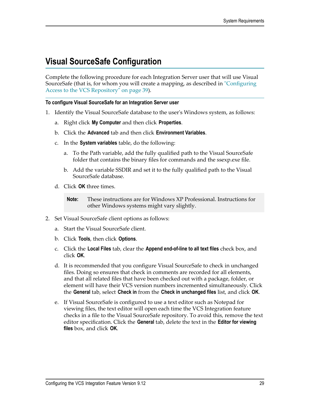# <span id="page-28-0"></span>**Visual SourceSafe Configuration**

Complete the following procedure for each Integration Server user that will use Visual SourceSafe (that is, for whom you will create a mapping, as described in ["Configuring](#page-38-1) [Access to the VCS Repository" on page 39\)](#page-38-1).

### **To configure Visual SourceSafe for an Integration Server user**

- 1. Identify the Visual SourceSafe database to the user's Windows system, as follows:
	- a. Right click **My Computer** and then click **Properties**.
	- b. Click the **Advanced** tab and then click **Environment Variables**.
	- c. In the **System variables** table, do the following:
		- a. To the Path variable, add the fully qualified path to the Visual SourceSafe folder that contains the binary files for commands and the ssexp.exe file.
		- b. Add the variable SSDIR and set it to the fully qualified path to the Visual SourceSafe database.
	- d. Click **OK** three times.
		- **Note:** These instructions are for Windows XP Professional. Instructions for other Windows systems might vary slightly.
- 2. Set Visual SourceSafe client options as follows:
	- a. Start the Visual SourceSafe client.
	- b. Click **Tools**, then click **Options**.
	- c. Click the **Local Files** tab, clear the **Append end-of-line to all text files** check box, and click **OK**.
	- d. It is recommended that you configure Visual SourceSafe to check in unchanged files. Doing so ensures that check in comments are recorded for all elements, and that all related files that have been checked out with a package, folder, or element will have their VCS version numbers incremented simultaneously. Click the **General** tab, select **Check in** from the **Check in unchanged files** list, and click **OK**.
	- e. If Visual SourceSafe is configured to use a text editor such as Notepad for viewing files, the text editor will open each time the VCS Integration feature checks in a file to the Visual SourceSafe repository. To avoid this, remove the text editor specification. Click the **General** tab, delete the text in the **Editor for viewing files** box, and click **OK**.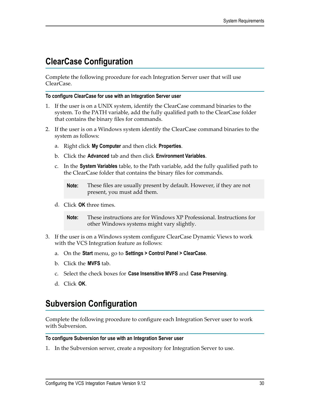# <span id="page-29-0"></span>**ClearCase Configuration**

Complete the following procedure for each Integration Server user that will use ClearCase.

### **To configure ClearCase for use with an Integration Server user**

- 1. If the user is on a UNIX system, identify the ClearCase command binaries to the system. To the PATH variable, add the fully qualified path to the ClearCase folder that contains the binary files for commands.
- 2. If the user is on a Windows system identify the ClearCase command binaries to the system as follows:
	- a. Right click **My Computer** and then click **Properties**.
	- b. Click the **Advanced** tab and then click **Environment Variables**.
	- c. In the **System Variables** table, to the Path variable, add the fully qualified path to the ClearCase folder that contains the binary files for commands.
		- **Note:** These files are usually present by default. However, if they are not present, you must add them.
	- d. Click **OK** three times.
		- **Note:** These instructions are for Windows XP Professional. Instructions for other Windows systems might vary slightly.
- 3. If the user is on a Windows system configure ClearCase Dynamic Views to work with the VCS Integration feature as follows:
	- a. On the **Start** menu, go to **Settings > Control Panel > ClearCase**.
	- b. Click the **MVFS** tab.
	- c. Select the check boxes for **Case Insensitive MVFS** and **Case Preserving**.
	- d. Click **OK**.

# <span id="page-29-1"></span>**Subversion Configuration**

Complete the following procedure to configure each Integration Server user to work with Subversion.

### **To configure Subversion for use with an Integration Server user**

1. In the Subversion server, create a repository for Integration Server to use.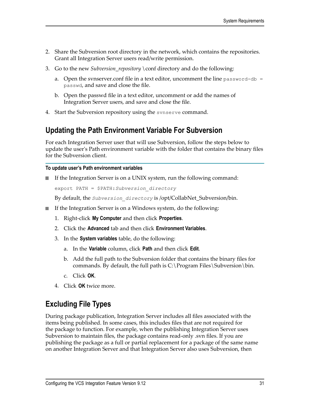- 2. Share the Subversion root directory in the network, which contains the repositories. Grant all Integration Server users read/write permission.
- 3. Go to the new *Subversion\_repository* \conf directory and do the following:
	- a. Open the synserver.conf file in a text editor, uncomment the line password-db  $=$ passwd, and save and close the file.
	- b. Open the passwd file in a text editor, uncomment or add the names of Integration Server users, and save and close the file.
- 4. Start the Subversion repository using the svnserve command.

### <span id="page-30-0"></span>**Updating the Path Environment Variable For Subversion**

For each Integration Server user that will use Subversion, follow the steps below to update the user's Path environment variable with the folder that contains the binary files for the Subversion client.

#### **To update user's Path environment variables**

If the Integration Server is on a UNIX system, run the following command:  $\overline{\phantom{a}}$ 

```
export PATH = $PATH:Subversion_directory
```
By default, the *Subversion\_directory* is /opt/CollabNet\_Subversion/bin.

- If the Integration Server is on a Windows system, do the following:
	- 1. Right-click **My Computer** and then click **Properties**.
	- 2. Click the **Advanced** tab and then click **Environment Variables**.
	- 3. In the **System variables** table, do the following:
		- a. In the **Variable** column, click **Path** and then click **Edit**.
		- b. Add the full path to the Subversion folder that contains the binary files for commands. By default, the full path is  $C:\P$  rogram Files \Subversion \bin.
		- c. Click **OK**.
	- 4. Click **OK** twice more.

### <span id="page-30-1"></span>**Excluding File Types**

During package publication, Integration Server includes all files associated with the items being published. In some cases, this includes files that are not required for the package to function. For example, when the publishing Integration Server uses Subversion to maintain files, the package contains read-only .svn files. If you are publishing the package as a full or partial replacement for a package of the same name on another Integration Server and that Integration Server also uses Subversion, then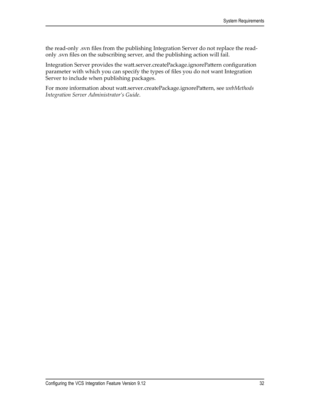the read-only .svn files from the publishing Integration Server do not replace the readonly .svn files on the subscribing server, and the publishing action will fail.

Integration Server provides the watt.server.createPackage.ignorePattern configuration parameter with which you can specify the types of files you do not want Integration Server to include when publishing packages.

For more information about watt.server.createPackage.ignorePattern, see *webMethods Integration Server Administrator's Guide*.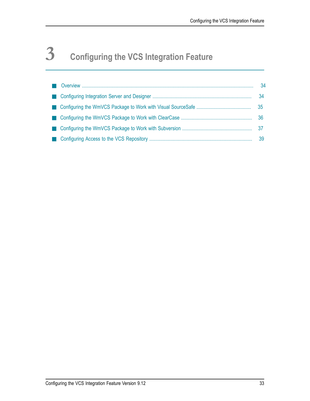# <span id="page-32-0"></span>**3 Configuring the VCS Integration Feature**

|  | 34              |
|--|-----------------|
|  | 34              |
|  | 35 <sub>o</sub> |
|  | 36              |
|  |                 |
|  | 39              |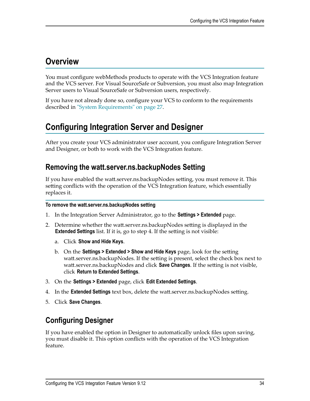# <span id="page-33-0"></span>**Overview**

You must configure webMethods products to operate with the VCS Integration feature and the VCS server. For Visual SourceSafe or Subversion, you must also map Integration Server users to Visual SourceSafe or Subversion users, respectively.

If you have not already done so, configure your VCS to conform to the requirements described in ["System Requirements" on page 27](#page-26-0).

# <span id="page-33-1"></span>**Configuring Integration Server and Designer**

After you create your VCS administrator user account, you configure Integration Server and Designer, or both to work with the VCS Integration feature.

### <span id="page-33-2"></span>**Removing the watt.server.ns.backupNodes Setting**

If you have enabled the watt.server.ns.backupNodes setting, you must remove it. This setting conflicts with the operation of the VCS Integration feature, which essentially replaces it.

### **To remove the watt.server.ns.backupNodes setting**

- 1. In the Integration Server Administrator, go to the **Settings > Extended** page.
- 2. Determine whether the watt.server.ns.backupNodes setting is displayed in the **Extended Settings** list. If it is, go to step 4. If the setting is not visible:
	- a. Click **Show and Hide Keys**.
	- b. On the **Settings > Extended > Show and Hide Keys** page, look for the setting watt.server.ns.backupNodes. If the setting is present, select the check box next to watt.server.ns.backupNodes and click **Save Changes**. If the setting is not visible, click **Return to Extended Settings**.
- 3. On the **Settings > Extended** page, click **Edit Extended Settings**.
- 4. In the **Extended Settings** text box, delete the watt.server.ns.backupNodes setting.
- 5. Click **Save Changes**.

## <span id="page-33-3"></span>**Configuring Designer**

If you have enabled the option in Designer to automatically unlock files upon saving, you must disable it. This option conflicts with the operation of the VCS Integration feature.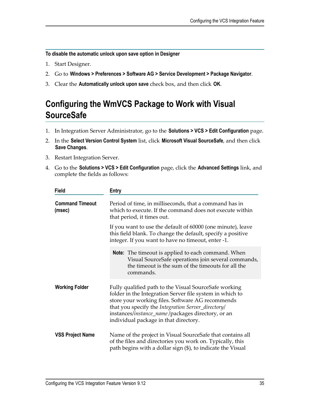**To disable the automatic unlock upon save option in Designer**

- 1. Start Designer.
- 2. Go to **Windows > Preferences > Software AG > Service Development > Package Navigator**.
- 3. Clear the **Automatically unlock upon save** check box, and then click **OK**.

# <span id="page-34-0"></span>**Configuring the WmVCS Package to Work with Visual SourceSafe**

- 1. In Integration Server Administrator, go to the **Solutions > VCS > Edit Configuration** page.
- 2. In the **Select Version Control System** list, click **Microsoft Visual SourceSafe**, and then click **Save Changes**.
- 3. Restart Integration Server.
- 4. Go to the **Solutions > VCS > Edit Configuration** page, click the **Advanced Settings** link, and complete the fields as follows:

| <b>Field</b>                     | <b>Entry</b>                                                                                                                                                                                                                                                                                                              |
|----------------------------------|---------------------------------------------------------------------------------------------------------------------------------------------------------------------------------------------------------------------------------------------------------------------------------------------------------------------------|
| <b>Command Timeout</b><br>(msec) | Period of time, in milliseconds, that a command has in<br>which to execute. If the command does not execute within<br>that period, it times out.                                                                                                                                                                          |
|                                  | If you want to use the default of 60000 (one minute), leave<br>this field blank. To change the default, specify a positive<br>integer. If you want to have no timeout, enter -1.                                                                                                                                          |
|                                  | <b>Note:</b> The timeout is applied to each command. When<br>Visual SourceSafe operations join several commands,<br>the timeout is the sum of the timeouts for all the<br>commands.                                                                                                                                       |
| <b>Working Folder</b>            | Fully qualified path to the Visual SourceSafe working<br>folder in the Integration Server file system in which to<br>store your working files. Software AG recommends<br>that you specify the Integration Server_directory/<br>instances/instance_name/packages directory, or an<br>individual package in that directory. |
| <b>VSS Project Name</b>          | Name of the project in Visual SourceSafe that contains all<br>of the files and directories you work on. Typically, this<br>path begins with a dollar sign (\$), to indicate the Visual                                                                                                                                    |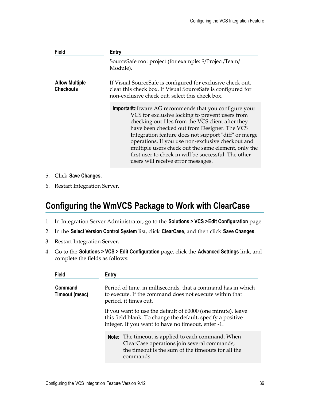| <b>Field</b>                              | Entry                                                                                                                                                                                                                                                                                                                                                                                                                                                                            |
|-------------------------------------------|----------------------------------------------------------------------------------------------------------------------------------------------------------------------------------------------------------------------------------------------------------------------------------------------------------------------------------------------------------------------------------------------------------------------------------------------------------------------------------|
|                                           | SourceSafe root project (for example: \$/Project/Team/<br>Module).                                                                                                                                                                                                                                                                                                                                                                                                               |
| <b>Allow Multiple</b><br><b>Checkouts</b> | If Visual SourceSafe is configured for exclusive check out,<br>clear this check box. If Visual SourceSafe is configured for<br>non-exclusive check out, select this check box.                                                                                                                                                                                                                                                                                                   |
|                                           | Importantoftware AG recommends that you configure your<br>VCS for exclusive locking to prevent users from<br>checking out files from the VCS client after they<br>have been checked out from Designer. The VCS<br>Integration feature does not support "diff" or merge<br>operations. If you use non-exclusive checkout and<br>multiple users check out the same element, only the<br>first user to check in will be successful. The other<br>users will receive error messages. |

- 5. Click **Save Changes**.
- 6. Restart Integration Server.

# <span id="page-35-0"></span>**Configuring the WmVCS Package to Work with ClearCase**

- 1. In Integration Server Administrator, go to the **Solutions > VCS >Edit Configuration** page.
- 2. In the **Select Version Control System** list, click **ClearCase**, and then click **Save Changes**.
- 3. Restart Integration Server.
- 4. Go to the **Solutions > VCS > Edit Configuration** page, click the **Advanced Settings** link, and complete the fields as follows:

| <b>Field</b>              | Entry                                                                                                                                                                            |
|---------------------------|----------------------------------------------------------------------------------------------------------------------------------------------------------------------------------|
| Command<br>Timeout (msec) | Period of time, in milliseconds, that a command has in which<br>to execute. If the command does not execute within that<br>period, it times out.                                 |
|                           | If you want to use the default of 60000 (one minute), leave<br>this field blank. To change the default, specify a positive<br>integer. If you want to have no timeout, enter -1. |
|                           | Note: The timeout is applied to each command. When<br>ClearCase operations join several commands,<br>the timeout is the sum of the timeouts for all the<br>commands.             |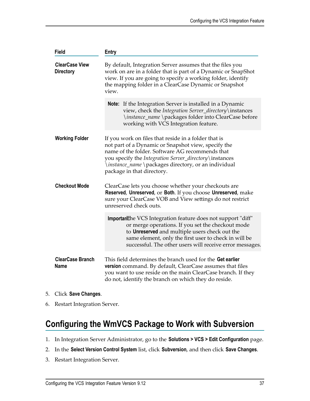| <b>Field</b>                              | <b>Entry</b>                                                                                                                                                                                                                                                                                                   |
|-------------------------------------------|----------------------------------------------------------------------------------------------------------------------------------------------------------------------------------------------------------------------------------------------------------------------------------------------------------------|
| <b>ClearCase View</b><br><b>Directory</b> | By default, Integration Server assumes that the files you<br>work on are in a folder that is part of a Dynamic or SnapShot<br>view. If you are going to specify a working folder, identify<br>the mapping folder in a ClearCase Dynamic or Snapshot<br>view.                                                   |
|                                           | <b>Note:</b> If the Integration Server is installed in a Dynamic<br>view, check the Integration Server_directory\instances<br>\instance_name \packages folder into ClearCase before<br>working with VCS Integration feature.                                                                                   |
| <b>Working Folder</b>                     | If you work on files that reside in a folder that is<br>not part of a Dynamic or Snapshot view, specify the<br>name of the folder. Software AG recommends that<br>you specify the Integration Server_directory\instances<br>\instance_name \packages directory, or an individual<br>package in that directory. |
| <b>Checkout Mode</b>                      | ClearCase lets you choose whether your checkouts are<br>Reserved, Unreserved, or Both. If you choose Unreserved, make<br>sure your ClearCase VOB and View settings do not restrict<br>unreserved check outs.                                                                                                   |
|                                           | Important he VCS Integration feature does not support "diff"<br>or merge operations. If you set the checkout mode<br>to Unreserved and multiple users check out the<br>same element, only the first user to check in will be<br>successful. The other users will receive error messages.                       |
| <b>ClearCase Branch</b><br><b>Name</b>    | This field determines the branch used for the Get earlier<br>version command. By default, ClearCase assumes that files<br>you want to use reside on the main ClearCase branch. If they<br>do not, identify the branch on which they do reside.                                                                 |

- 5. Click **Save Changes**.
- 6. Restart Integration Server.

# <span id="page-36-0"></span>**Configuring the WmVCS Package to Work with Subversion**

- 1. In Integration Server Administrator, go to the **Solutions > VCS > Edit Configuration** page.
- 2. In the **Select Version Control System** list, click **Subversion**, and then click **Save Changes**.
- 3. Restart Integration Server.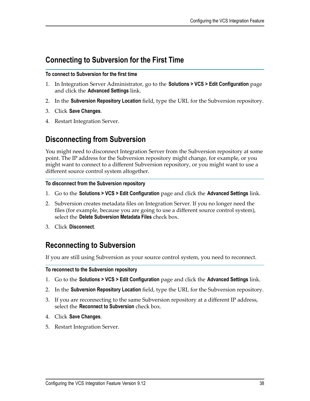### <span id="page-37-0"></span>**Connecting to Subversion for the First Time**

### **To connect to Subversion for the first time**

- 1. In Integration Server Administrator, go to the **Solutions > VCS > Edit Configuration** page and click the **Advanced Settings** link.
- 2. In the **Subversion Repository Location** field, type the URL for the Subversion repository.
- 3. Click **Save Changes**.
- 4. Restart Integration Server.

### <span id="page-37-1"></span>**Disconnecting from Subversion**

You might need to disconnect Integration Server from the Subversion repository at some point. The IP address for the Subversion repository might change, for example, or you might want to connect to a different Subversion repository, or you might want to use a different source control system altogether.

### **To disconnect from the Subversion repository**

- 1. Go to the **Solutions > VCS > Edit Configuration** page and click the **Advanced Settings** link.
- 2. Subversion creates metadata files on Integration Server. If you no longer need the files (for example, because you are going to use a different source control system), select the **Delete Subversion Metadata Files** check box.
- 3. Click **Disconnect**.

### <span id="page-37-2"></span>**Reconnecting to Subversion**

If you are still using Subversion as your source control system, you need to reconnect.

### **To reconnect to the Subversion repository**

- 1. Go to the **Solutions > VCS > Edit Configuration** page and click the **Advanced Settings** link.
- 2. In the **Subversion Repository Location** field, type the URL for the Subversion repository.
- 3. If you are reconnecting to the same Subversion repository at a different IP address, select the **Reconnect to Subversion** check box.
- 4. Click **Save Changes**.
- 5. Restart Integration Server.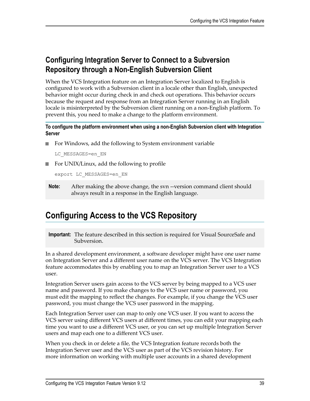## <span id="page-38-0"></span>**Configuring Integration Server to Connect to a Subversion Repository through a Non-English Subversion Client**

When the VCS Integration feature on an Integration Server localized to English is configured to work with a Subversion client in a locale other than English, unexpected behavior might occur during check in and check out operations. This behavior occurs because the request and response from an Integration Server running in an English locale is misinterpreted by the Subversion client running on a non-English platform. To prevent this, you need to make a change to the platform environment.

**To configure the platform environment when using a non-English Subversion client with Integration Server**

For Windows, add the following to System environment variable n.

LC\_MESSAGES=en\_EN

■ For UNIX/Linux, add the following to profile

export LC\_MESSAGES=en\_EN

**Note:** After making the above change, the svn --version command client should always result in a response in the English language.

# <span id="page-38-1"></span>**Configuring Access to the VCS Repository**

**Important:** The feature described in this section is required for Visual SourceSafe and Subversion.

In a shared development environment, a software developer might have one user name on Integration Server and a different user name on the VCS server. The VCS Integration feature accommodates this by enabling you to map an Integration Server user to a VCS user.

Integration Server users gain access to the VCS server by being mapped to a VCS user name and password. If you make changes to the VCS user name or password, you must edit the mapping to reflect the changes. For example, if you change the VCS user password, you must change the VCS user password in the mapping.

Each Integration Server user can map to only one VCS user. If you want to access the VCS server using different VCS users at different times, you can edit your mapping each time you want to use a different VCS user, or you can set up multiple Integration Server users and map each one to a different VCS user.

When you check in or delete a file, the VCS Integration feature records both the Integration Server user and the VCS user as part of the VCS revision history. For more information on working with multiple user accounts in a shared development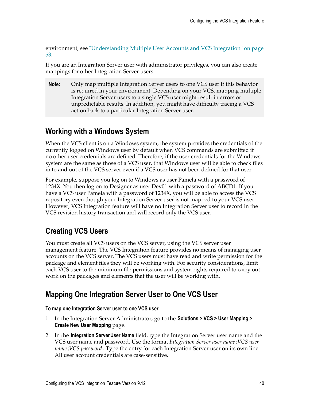environment, see ["Understanding Multiple User Accounts and VCS Integration" on page](#page-52-0) [53](#page-52-0).

If you are an Integration Server user with administrator privileges, you can also create mappings for other Integration Server users.

**Note:** Only map multiple Integration Server users to one VCS user if this behavior is required in your environment. Depending on your VCS, mapping multiple Integration Server users to a single VCS user might result in errors or unpredictable results. In addition, you might have difficulty tracing a VCS action back to a particular Integration Server user.

### <span id="page-39-0"></span>**Working with a Windows System**

When the VCS client is on a Windows system, the system provides the credentials of the currently logged on Windows user by default when VCS commands are submitted if no other user credentials are defined. Therefore, if the user credentials for the Windows system are the same as those of a VCS user, that Windows user will be able to check files in to and out of the VCS server even if a VCS user has not been defined for that user.

For example, suppose you log on to Windows as user Pamela with a password of 1234X. You then log on to Designer as user Dev01 with a password of ABCD1. If you have a VCS user Pamela with a password of 1234X, you will be able to access the VCS repository even though your Integration Server user is not mapped to your VCS user. However, VCS Integration feature will have no Integration Server user to record in the VCS revision history transaction and will record only the VCS user.

# <span id="page-39-1"></span>**Creating VCS Users**

You must create all VCS users on the VCS server, using the VCS server user management feature. The VCS Integration feature provides no means of managing user accounts on the VCS server. The VCS users must have read and write permission for the package and element files they will be working with. For security considerations, limit each VCS user to the minimum file permissions and system rights required to carry out work on the packages and elements that the user will be working with.

## <span id="page-39-2"></span>**Mapping One Integration Server User to One VCS User**

### **To map one Integration Server user to one VCS user**

- 1. In the Integration Server Administrator, go to the **Solutions > VCS > User Mapping > Create New User Mapping** page.
- 2. In the **Integration ServerUser Name** field, type the Integration Server user name and the VCS user name and password. Use the format *Integration Server user name*;*VCS user name*;*VCS password* . Type the entry for each Integration Server user on its own line. All user account credentials are case-sensitive.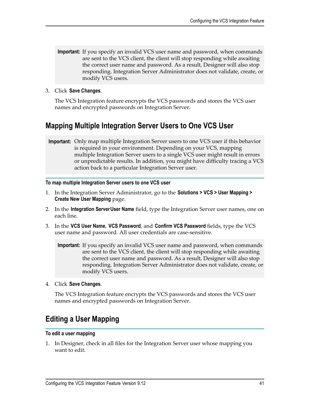- **Important:** If you specify an invalid VCS user name and password, when commands are sent to the VCS client, the client will stop responding while awaiting the correct user name and password. As a result, Designer will also stop responding. Integration Server Administrator does not validate, create, or modify VCS users.
- 3. Click **Save Changes**.

The VCS Integration feature encrypts the VCS passwords and stores the VCS user names and encrypted passwords on Integration Server.

### <span id="page-40-0"></span>**Mapping Multiple Integration Server Users to One VCS User**

**Important:** Only map multiple Integration Server users to one VCS user if this behavior is required in your environment. Depending on your VCS, mapping multiple Integration Server users to a single VCS user might result in errors or unpredictable results. In addition, you might have difficulty tracing a VCS action back to a particular Integration Server user.

#### **To map multiple Integration Server users to one VCS user**

- 1. In the Integration Server Administrator, go to the **Solutions > VCS > User Mapping > Create New User Mapping** page.
- 2. In the **Integration ServerUser Name** field, type the Integration Server user names, one on each line.
- 3. In the **VCS User Name**, **VCS Password**, and **Confirm VCS Password** fields, type the VCS user name and password. All user credentials are case-sensitive.

**Important:** If you specify an invalid VCS user name and password, when commands are sent to the VCS client, the client will stop responding while awaiting the correct user name and password. As a result, Designer will also stop responding. Integration Server Administrator does not validate, create, or modify VCS users.

4. Click **Save Changes**.

The VCS Integration feature encrypts the VCS passwords and stores the VCS user names and encrypted passwords on Integration Server.

### <span id="page-40-1"></span>**Editing a User Mapping**

#### **To edit a user mapping**

1. In Designer, check in all files for the Integration Server user whose mapping you want to edit.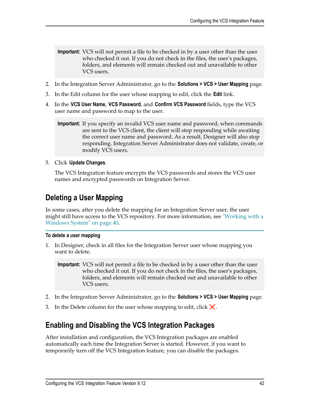- **Important:** VCS will not permit a file to be checked in by a user other than the user who checked it out. If you do not check in the files, the user's packages, folders, and elements will remain checked out and unavailable to other VCS users.
- 2. In the Integration Server Administrator, go to the **Solutions > VCS > User Mapping** page.
- 3. In the Edit column for the user whose mapping to edit, click the **Edit** link.
- 4. In the **VCS User Name**, **VCS Password**, and **Confirm VCS Password** fields, type the VCS user name and password to map to the user.

```
Important: If you specify an invalid VCS user name and password, when commands
         are sent to the VCS client, the client will stop responding while awaiting
         the correct user name and password. As a result, Designer will also stop
         responding. Integration Server Administrator does not validate, create, or
         modify VCS users.
```
5. Click **Update Changes**.

The VCS Integration feature encrypts the VCS passwords and stores the VCS user names and encrypted passwords on Integration Server.

### <span id="page-41-0"></span>**Deleting a User Mapping**

In some cases, after you delete the mapping for an Integration Server user, the user might still have access to the VCS repository. For more information, see ["Working with a](#page-39-0) [Windows](#page-39-0) System" on page 40.

### **To delete a user mapping**

1. In Designer, check in all files for the Integration Server user whose mapping you want to delete.

**Important:** VCS will not permit a file to be checked in by a user other than the user who checked it out. If you do not check in the files, the user's packages, folders, and elements will remain checked out and unavailable to other VCS users.

- 2. In the Integration Server Administrator, go to the **Solutions > VCS > User Mapping** page.
- 3. In the Delete column for the user whose mapping to edit, click  $\mathsf{\times}$ .

### <span id="page-41-1"></span>**Enabling and Disabling the VCS Integration Packages**

After installation and configuration, the VCS Integration packages are enabled automatically each time the Integration Server is started. However, if you want to temporarily turn off the VCS Integration feature, you can disable the packages.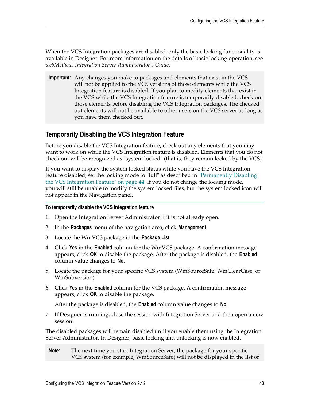When the VCS Integration packages are disabled, only the basic locking functionality is available in Designer. For more information on the details of basic locking operation, see *webMethods Integration Server Administrator's Guide*.

**Important:** Any changes you make to packages and elements that exist in the VCS will not be applied to the VCS versions of those elements while the VCS Integration feature is disabled. If you plan to modify elements that exist in the VCS while the VCS Integration feature is temporarily disabled, check out those elements before disabling the VCS Integration packages. The checked out elements will not be available to other users on the VCS server as long as you have them checked out.

### <span id="page-42-0"></span>**Temporarily Disabling the VCS Integration Feature**

Before you disable the VCS Integration feature, check out any elements that you may want to work on while the VCS Integration feature is disabled. Elements that you do not check out will be recognized as "system locked" (that is, they remain locked by the VCS).

If you want to display the system locked status while you have the VCS Integration feature disabled, set the locking mode to "full" as described in ["Permanently](#page-43-1) Disabling [the VCS Integration Feature" on page 44](#page-43-1). If you do not change the locking mode, you will still be unable to modify the system locked files, but the system locked icon will not appear in the Navigation panel.

### **To temporarily disable the VCS Integration feature**

- 1. Open the Integration Server Administrator if it is not already open.
- 2. In the **Packages** menu of the navigation area, click **Management**.
- 3. Locate the WmVCS package in the **Package List**.
- 4. Click **Yes** in the **Enabled** column for the WmVCS package. A confirmation message appears; click **OK** to disable the package. After the package is disabled, the **Enabled** column value changes to **No**.
- 5. Locate the package for your specific VCS system (WmSourceSafe, WmClearCase, or WmSubversion).
- 6. Click **Yes** in the **Enabled** column for the VCS package. A confirmation message appears; click **OK** to disable the package.

After the package is disabled, the **Enabled** column value changes to **No**.

7. If Designer is running, close the session with Integration Server and then open a new session.

The disabled packages will remain disabled until you enable them using the Integration Server Administrator. In Designer, basic locking and unlocking is now enabled.

**Note:** The next time you start Integration Server, the package for your specific VCS system (for example, WmSourceSafe) will not be displayed in the list of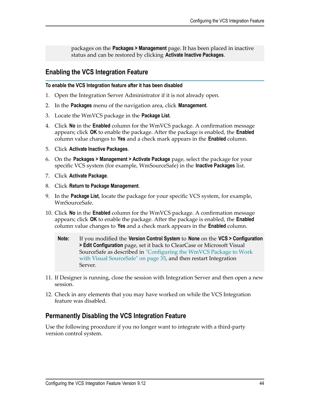packages on the **Packages > Management** page. It has been placed in inactive status and can be restored by clicking **Activate Inactive Packages**.

### <span id="page-43-0"></span>**Enabling the VCS Integration Feature**

#### **To enable the VCS Integration feature after it has been disabled**

- 1. Open the Integration Server Administrator if it is not already open.
- 2. In the **Packages** menu of the navigation area, click **Management**.
- 3. Locate the WmVCS package in the **Package List**.
- 4. Click **No** in the **Enabled** column for the WmVCS package. A confirmation message appears; click **OK** to enable the package. After the package is enabled, the **Enabled** column value changes to **Yes** and a check mark appears in the **Enabled** column.
- 5. Click **Activate Inactive Packages**.
- 6. On the **Packages > Management > Activate Package** page, select the package for your specific VCS system (for example, WmSourceSafe) in the **Inactive Packages** list.
- 7. Click **Activate Package**.
- 8. Click **Return to Package Management**.
- 9. In the **Package List**, locate the package for your specific VCS system, for example, WmSourceSafe.
- 10. Click **No** in the **Enabled** column for the WmVCS package. A confirmation message appears; click **OK** to enable the package. After the package is enabled, the **Enabled** column value changes to **Yes** and a check mark appears in the **Enabled** column.
	- **Note:** If you modified the **Version Control System** to **None** on the **VCS > Configuration > Edit Configuration** page, set it back to ClearCase or Microsoft Visual SourceSafe as described in ["Configuring](#page-34-0) the WmVCS Package to Work with Visual [SourceSafe"](#page-34-0) on page 35, and then restart Integration Server.
- 11. If Designer is running, close the session with Integration Server and then open a new session.
- 12. Check in any elements that you may have worked on while the VCS Integration feature was disabled.

### <span id="page-43-1"></span>**Permanently Disabling the VCS Integration Feature**

Use the following procedure if you no longer want to integrate with a third-party version control system.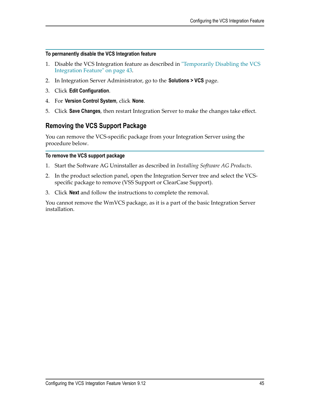#### **To permanently disable the VCS Integration feature**

- 1. Disable the VCS Integration feature as described in ["Temporarily](#page-42-0) Disabling the VCS [Integration Feature" on page 43.](#page-42-0)
- 2. In Integration Server Administrator, go to the **Solutions > VCS** page.
- 3. Click **Edit Configuration**.
- 4. For **Version Control System**, click **None**.
- 5. Click **Save Changes**, then restart Integration Server to make the changes take effect.

### <span id="page-44-0"></span>**Removing the VCS Support Package**

You can remove the VCS-specific package from your Integration Server using the procedure below.

### **To remove the VCS support package**

- 1. Start the Software AG Uninstaller as described in *Installing Software AG Products*.
- 2. In the product selection panel, open the Integration Server tree and select the VCSspecific package to remove (VSS Support or ClearCase Support).
- 3. Click **Next** and follow the instructions to complete the removal.

You cannot remove the WmVCS package, as it is a part of the basic Integration Server installation.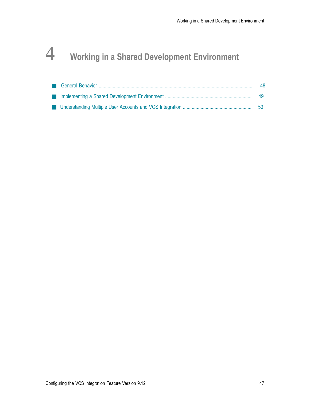# <span id="page-46-0"></span>**4 Working in a Shared Development Environment**

|  | 48 |
|--|----|
|  | 49 |
|  |    |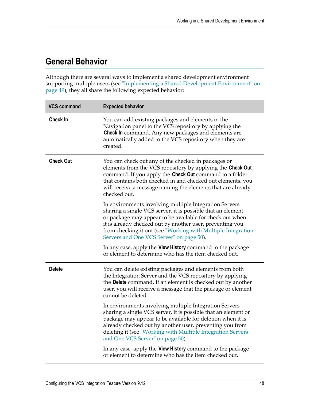# <span id="page-47-0"></span>**General Behavior**

Although there are several ways to implement a shared development environment supporting multiple users (see ["Implementing](#page-48-0) a Shared Development Environment" on [page 49](#page-48-0)), they all share the following expected behavior:

| <b>VCS command</b> | <b>Expected behavior</b>                                                                                                                                                                                                                                                                                                                                   |
|--------------------|------------------------------------------------------------------------------------------------------------------------------------------------------------------------------------------------------------------------------------------------------------------------------------------------------------------------------------------------------------|
| <b>Check In</b>    | You can add existing packages and elements in the<br>Navigation panel to the VCS repository by applying the<br>Check In command. Any new packages and elements are<br>automatically added to the VCS repository when they are<br>created.                                                                                                                  |
| <b>Check Out</b>   | You can check out any of the checked in packages or<br>elements from the VCS repository by applying the Check Out<br>command. If you apply the Check Out command to a folder<br>that contains both checked in and checked out elements, you<br>will receive a message naming the elements that are already<br>checked out.                                 |
|                    | In environments involving multiple Integration Servers<br>sharing a single VCS server, it is possible that an element<br>or package may appear to be available for check out when<br>it is already checked out by another user, preventing you<br>from checking it out (see "Working with Multiple Integration<br>Servers and One VCS Server" on page 50). |
|                    | In any case, apply the View History command to the package<br>or element to determine who has the item checked out.                                                                                                                                                                                                                                        |
| <b>Delete</b>      | You can delete existing packages and elements from both<br>the Integration Server and the VCS repository by applying<br>the Delete command. If an element is checked out by another<br>user, you will receive a message that the package or element<br>cannot be deleted.                                                                                  |
|                    | In environments involving multiple Integration Servers<br>sharing a single VCS server, it is possible that an element or<br>package may appear to be available for deletion when it is<br>already checked out by another user, preventing you from<br>deleting it (see "Working with Multiple Integration Servers<br>and One VCS Server" on page 50).      |
|                    | In any case, apply the View History command to the package<br>or element to determine who has the item checked out.                                                                                                                                                                                                                                        |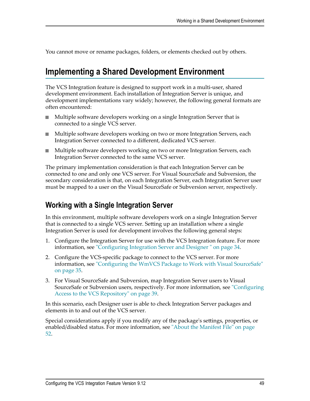You cannot move or rename packages, folders, or elements checked out by others.

# <span id="page-48-0"></span>**Implementing a Shared Development Environment**

The VCS Integration feature is designed to support work in a multi-user, shared development environment. Each installation of Integration Server is unique, and development implementations vary widely; however, the following general formats are often encountered:

- Multiple software developers working on a single Integration Server that is connected to a single VCS server.
- $\overline{\phantom{a}}$ Multiple software developers working on two or more Integration Servers, each Integration Server connected to a different, dedicated VCS server.
- **Multiple software developers working on two or more Integration Servers, each** Integration Server connected to the same VCS server.

The primary implementation consideration is that each Integration Server can be connected to one and only one VCS server. For Visual SourceSafe and Subversion, the secondary consideration is that, on each Integration Server, each Integration Server user must be mapped to a user on the Visual SourceSafe or Subversion server, respectively.

### <span id="page-48-1"></span>**Working with a Single Integration Server**

In this environment, multiple software developers work on a single Integration Server that is connected to a single VCS server. Setting up an installation where a single Integration Server is used for development involves the following general steps:

- 1. Configure the Integration Server for use with the VCS Integration feature. For more information, see ["Configuring](#page-33-1) Integration Server and Designer " on page 34.
- 2. Configure the VCS-specific package to connect to the VCS server. For more information, see ["Configuring](#page-34-0) the WmVCS Package to Work with Visual SourceSafe" [on page 35](#page-34-0).
- 3. For Visual SourceSafe and Subversion, map Integration Server users to Visual SourceSafe or Subversion users, respectively. For more information, see ["Configuring](#page-38-1) [Access to the VCS Repository" on page 39.](#page-38-1)

In this scenario, each Designer user is able to check Integration Server packages and elements in to and out of the VCS server.

Special considerations apply if you modify any of the package's settings, properties, or enabled/disabled status. For more information, see ["About the Manifest File" on page](#page-51-0) [52](#page-51-0).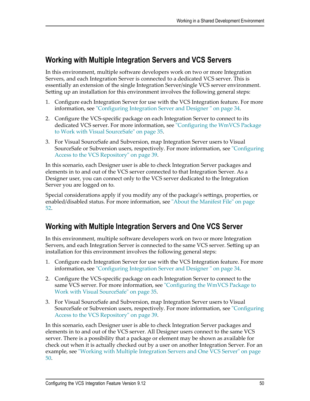### <span id="page-49-0"></span>**Working with Multiple Integration Servers and VCS Servers**

In this environment, multiple software developers work on two or more Integration Servers, and each Integration Server is connected to a dedicated VCS server. This is essentially an extension of the single Integration Server/single VCS server environment. Setting up an installation for this environment involves the following general steps:

- 1. Configure each Integration Server for use with the VCS Integration feature. For more information, see ["Configuring](#page-33-1) Integration Server and Designer " on page 34.
- 2. Configure the VCS-specific package on each Integration Server to connect to its dedicated VCS server. For more information, see ["Configuring](#page-34-0) the WmVCS Package to Work with Visual [SourceSafe"](#page-34-0) on page 35.
- 3. For Visual SourceSafe and Subversion, map Integration Server users to Visual SourceSafe or Subversion users, respectively. For more information, see ["Configuring](#page-38-1) [Access to the VCS Repository" on page 39.](#page-38-1)

In this scenario, each Designer user is able to check Integration Server packages and elements in to and out of the VCS server connected to that Integration Server. As a Designer user, you can connect only to the VCS server dedicated to the Integration Server you are logged on to.

Special considerations apply if you modify any of the package's settings, properties, or enabled/disabled status. For more information, see ["About the Manifest File" on page](#page-51-0) [52](#page-51-0).

### <span id="page-49-1"></span>**Working with Multiple Integration Servers and One VCS Server**

In this environment, multiple software developers work on two or more Integration Servers, and each Integration Server is connected to the same VCS server. Setting up an installation for this environment involves the following general steps:

- 1. Configure each Integration Server for use with the VCS Integration feature. For more information, see ["Configuring](#page-33-1) Integration Server and Designer " on page 34.
- 2. Configure the VCS-specific package on each Integration Server to connect to the same VCS server. For more information, see ["Configuring](#page-34-0) the WmVCS Package to Work with Visual [SourceSafe"](#page-34-0) on page 35.
- 3. For Visual SourceSafe and Subversion, map Integration Server users to Visual SourceSafe or Subversion users, respectively. For more information, see ["Configuring](#page-38-1) [Access to the VCS Repository" on page 39.](#page-38-1)

In this scenario, each Designer user is able to check Integration Server packages and elements in to and out of the VCS server. All Designer users connect to the same VCS server. There is a possibility that a package or element may be shown as available for check out when it is actually checked out by a user on another Integration Server. For an example, see "Working with Multiple [Integration](#page-49-1) Servers and One VCS Server" on page [50](#page-49-1).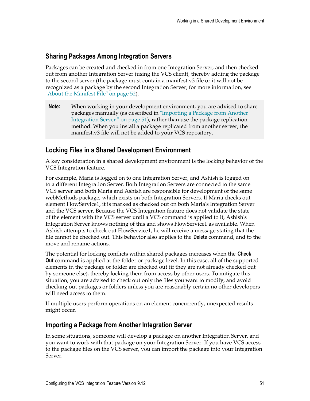### <span id="page-50-0"></span>**Sharing Packages Among Integration Servers**

Packages can be created and checked in from one Integration Server, and then checked out from another Integration Server (using the VCS client), thereby adding the package to the second server (the package must contain a manifest.v3 file or it will not be recognized as a package by the second Integration Server; for more information, see ["About the Manifest File" on page 52](#page-51-0)).

**Note:** When working in your development environment, you are advised to share packages manually (as described in ["Importing](#page-50-2) a Package from Another [Integration](#page-50-2) Server " on page 51), rather than use the package replication method. When you install a package replicated from another server, the manifest.v3 file will not be added to your VCS repository.

### <span id="page-50-1"></span>**Locking Files in a Shared Development Environment**

A key consideration in a shared development environment is the locking behavior of the VCS Integration feature.

For example, Maria is logged on to one Integration Server, and Ashish is logged on to a different Integration Server. Both Integration Servers are connected to the same VCS server and both Maria and Ashish are responsible for development of the same webMethods package, which exists on both Integration Servers. If Maria checks out element FlowService1, it is marked as checked out on both Maria's Integration Server and the VCS server. Because the VCS Integration feature does not validate the state of the element with the VCS server until a VCS command is applied to it, Ashish's Integration Server knows nothing of this and shows FlowService1 as available. When Ashish attempts to check out FlowService1, he will receive a message stating that the file cannot be checked out. This behavior also applies to the **Delete** command, and to the move and rename actions.

The potential for locking conflicts within shared packages increases when the **Check Out** command is applied at the folder or package level. In this case, all of the supported elements in the package or folder are checked out (if they are not already checked out by someone else), thereby locking them from access by other users. To mitigate this situation, you are advised to check out only the files you want to modify, and avoid checking out packages or folders unless you are reasonably certain no other developers will need access to them.

If multiple users perform operations on an element concurrently, unexpected results might occur.

### <span id="page-50-2"></span>**Importing a Package from Another Integration Server**

In some situations, someone will develop a package on another Integration Server, and you want to work with that package on your Integration Server. If you have VCS access to the package files on the VCS server, you can import the package into your Integration Server.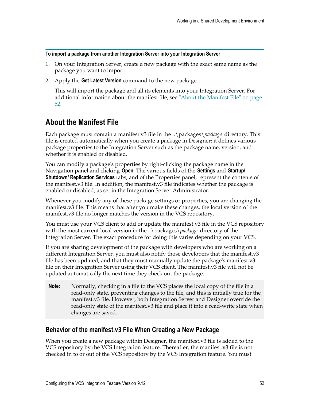#### **To import a package from another Integration Server into your Integration Server**

- 1. On your Integration Server, create a new package with the exact same name as the package you want to import.
- 2. Apply the **Get Latest Version** command to the new package.

This will import the package and all its elements into your Integration Server. For additional information about the manifest file, see ["About the Manifest File" on page](#page-51-0) [52](#page-51-0).

### <span id="page-51-0"></span>**About the Manifest File**

Each package must contain a manifest.v3 file in the ..\packages\*package* directory. This file is created automatically when you create a package in Designer; it defines various package properties to the Integration Server such as the package name, version, and whether it is enabled or disabled.

You can modify a package's properties by right-clicking the package name in the Navigation panel and clicking **Open**. The various fields of the **Settings** and **Startup/ Shutdown/ Replication Services** tabs, and of the Properties panel, represent the contents of the manifest.v3 file. In addition, the manifest.v3 file indicates whether the package is enabled or disabled, as set in the Integration Server Administrator.

Whenever you modify any of these package settings or properties, you are changing the manifest.v3 file. This means that after you make these changes, the local version of the manifest.v3 file no longer matches the version in the VCS repository.

You must use your VCS client to add or update the manifest.v3 file in the VCS repository with the most current local version in the ..\packages\*package* directory of the Integration Server. The exact procedure for doing this varies depending on your VCS.

If you are sharing development of the package with developers who are working on a different Integration Server, you must also notify those developers that the manifest.v3 file has been updated, and that they must manually update the package's manifest.v3 file on their Integration Server using their VCS client. The manifest.v3 file will not be updated automatically the next time they check out the package.

**Note:** Normally, checking in a file to the VCS places the local copy of the file in a read-only state, preventing changes to the file, and this is initially true for the manifest.v3 file. However, both Integration Server and Designer override the read-only state of the manifest.v3 file and place it into a read-write state when changes are saved.

### <span id="page-51-1"></span>**Behavior of the manifest.v3 File When Creating a New Package**

When you create a new package within Designer, the manifest.v3 file is added to the VCS repository by the VCS Integration feature. Thereafter, the manifest.v3 file is not checked in to or out of the VCS repository by the VCS Integration feature. You must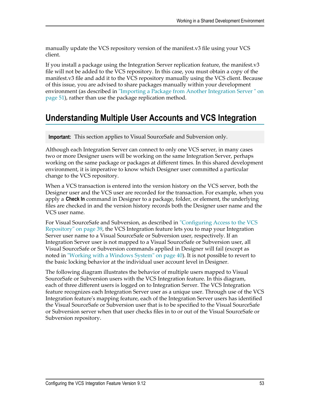manually update the VCS repository version of the manifest.v3 file using your VCS client.

If you install a package using the Integration Server replication feature, the manifest.v3 file will not be added to the VCS repository. In this case, you must obtain a copy of the manifest.v3 file and add it to the VCS repository manually using the VCS client. Because of this issue, you are advised to share packages manually within your development environment (as described in "Importing a Package from Another [Integration](#page-50-2) Server " on [page 51](#page-50-2)), rather than use the package replication method.

# <span id="page-52-0"></span>**Understanding Multiple User Accounts and VCS Integration**

**Important:** This section applies to Visual SourceSafe and Subversion only.

Although each Integration Server can connect to only one VCS server, in many cases two or more Designer users will be working on the same Integration Server, perhaps working on the same package or packages at different times. In this shared development environment, it is imperative to know which Designer user committed a particular change to the VCS repository.

When a VCS transaction is entered into the version history on the VCS server, both the Designer user and the VCS user are recorded for the transaction. For example, when you apply a **Check In** command in Designer to a package, folder, or element, the underlying files are checked in and the version history records both the Designer user name and the VCS user name.

For Visual SourceSafe and Subversion, as described in ["Configuring Access to the VCS](#page-38-1) [Repository" on page 39](#page-38-1), the VCS Integration feature lets you to map your Integration Server user name to a Visual SourceSafe or Subversion user, respectively. If an Integration Server user is not mapped to a Visual SourceSafe or Subversion user, all Visual SourceSafe or Subversion commands applied in Designer will fail (except as noted in ["Working](#page-39-0) with a Windows System" on page 40). It is not possible to revert to the basic locking behavior at the individual user account level in Designer.

The following diagram illustrates the behavior of multiple users mapped to Visual SourceSafe or Subversion users with the VCS Integration feature. In this diagram, each of three different users is logged on to Integration Server. The VCS Integration feature recognizes each Integration Server user as a unique user. Through use of the VCS Integration feature's mapping feature, each of the Integration Server users has identified the Visual SourceSafe or Subversion user that is to be specified to the Visual SourceSafe or Subversion server when that user checks files in to or out of the Visual SourceSafe or Subversion repository.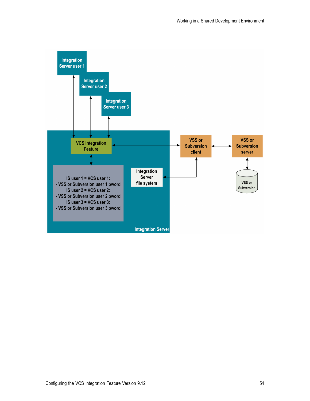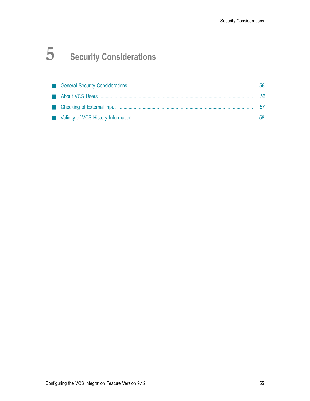# <span id="page-54-0"></span>**5 Security Considerations**

|  | 56  |
|--|-----|
|  | -56 |
|  |     |
|  | 58  |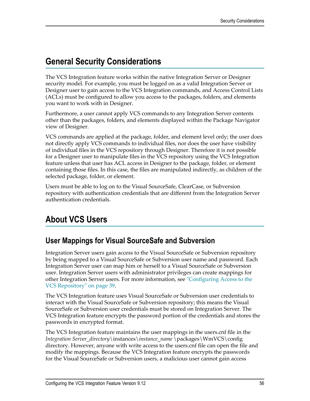# <span id="page-55-0"></span>**General Security Considerations**

The VCS Integration feature works within the native Integration Server or Designer security model. For example, you must be logged on as a valid Integration Server or Designer user to gain access to the VCS Integration commands, and Access Control Lists (ACLs) must be configured to allow you access to the packages, folders, and elements you want to work with in Designer.

Furthermore, a user cannot apply VCS commands to any Integration Server contents other than the packages, folders, and elements displayed within the Package Navigator view of Designer.

VCS commands are applied at the package, folder, and element level only; the user does not directly apply VCS commands to individual files, nor does the user have visibility of individual files in the VCS repository through Designer. Therefore it is not possible for a Designer user to manipulate files in the VCS repository using the VCS Integration feature unless that user has ACL access in Designer to the package, folder, or element containing those files. In this case, the files are manipulated indirectly, as children of the selected package, folder, or element.

Users must be able to log on to the Visual SourceSafe, ClearCase, or Subversion repository with authentication credentials that are different from the Integration Server authentication credentials.

# <span id="page-55-1"></span>**About VCS Users**

### <span id="page-55-2"></span>**User Mappings for Visual SourceSafe and Subversion**

Integration Server users gain access to the Visual SourceSafe or Subversion repository by being mapped to a Visual SourceSafe or Subversion user name and password. Each Integration Server user can map him or herself to a Visual SourceSafe or Subversion user. Integration Server users with administrator privileges can create mappings for other Integration Server users. For more information, see ["Configuring Access to the](#page-38-1) [VCS Repository" on page 39.](#page-38-1)

The VCS Integration feature uses Visual SourceSafe or Subversion user credentials to interact with the Visual SourceSafe or Subversion repository; this means the Visual SourceSafe or Subversion user credentials must be stored on Integration Server. The VCS Integration feature encrypts the password portion of the credentials and stores the passwords in encrypted format.

The VCS Integration feature maintains the user mappings in the users.cnf file in the *Integration Server\_directory*\instances\*instance\_name* \packages\WmVCS\config directory. However, anyone with write access to the users.cnf file can open the file and modify the mappings. Because the VCS Integration feature encrypts the passwords for the Visual SourceSafe or Subversion users, a malicious user cannot gain access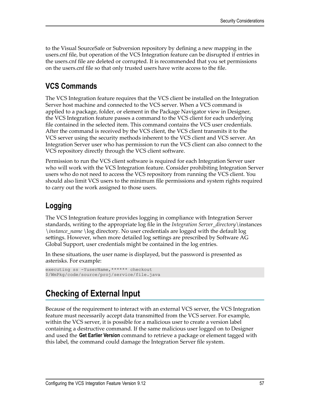to the Visual SourceSafe or Subversion repository by defining a new mapping in the users.cnf file, but operation of the VCS Integration feature can be disrupted if entries in the users.cnf file are deleted or corrupted. It is recommended that you set permissions on the users.cnf file so that only trusted users have write access to the file.

### <span id="page-56-0"></span>**VCS Commands**

The VCS Integration feature requires that the VCS client be installed on the Integration Server host machine and connected to the VCS server. When a VCS command is applied to a package, folder, or element in the Package Navigator view in Designer, the VCS Integration feature passes a command to the VCS client for each underlying file contained in the selected item. This command contains the VCS user credentials. After the command is received by the VCS client, the VCS client transmits it to the VCS server using the security methods inherent to the VCS client and VCS server. An Integration Server user who has permission to run the VCS client can also connect to the VCS repository directly through the VCS client software.

Permission to run the VCS client software is required for each Integration Server user who will work with the VCS Integration feature. Consider prohibiting Integration Server users who do not need to access the VCS repository from running the VCS client. You should also limit VCS users to the minimum file permissions and system rights required to carry out the work assigned to those users.

# <span id="page-56-1"></span>**Logging**

The VCS Integration feature provides logging in compliance with Integration Server standards, writing to the appropriate log file in the *Integration Server\_directory*\instances \*instance\_name* \log directory. No user credentials are logged with the default log settings. However, when more detailed log settings are prescribed by Software AG Global Support, user credentials might be contained in the log entries.

In these situations, the user name is displayed, but the password is presented as asterisks. For example:

```
executing ss -YuserName, ****** checkout
$/WmPkg/code/source/proj/service/file.java
```
# <span id="page-56-2"></span>**Checking of External Input**

Because of the requirement to interact with an external VCS server, the VCS Integration feature must necessarily accept data transmitted from the VCS server. For example, within the VCS server, it is possible for a malicious user to create a version label containing a destructive command. If the same malicious user logged on to Designer and used the **Get Earlier Version** command to retrieve a package or element tagged with this label, the command could damage the Integration Server file system.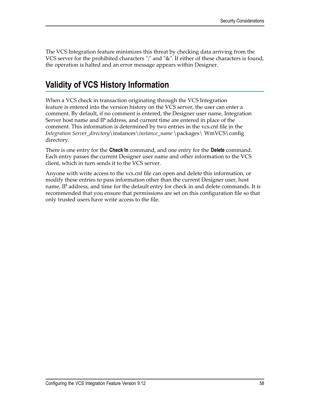The VCS Integration feature minimizes this threat by checking data arriving from the VCS server for the prohibited characters ";" and "&". If either of these characters is found, the operation is halted and an error message appears within Designer.

# <span id="page-57-0"></span>**Validity of VCS History Information**

When a VCS check in transaction originating through the VCS Integration feature is entered into the version history on the VCS server, the user can enter a comment. By default, if no comment is entered, the Designer user name, Integration Server host name and IP address, and current time are entered in place of the comment. This information is determined by two entries in the vcs.cnf file in the *Integration Server\_directory*\instances\*instance\_name* \packages\ WmVCS\config directory.

There is one entry for the **Check In** command, and one entry for the **Delete** command. Each entry passes the current Designer user name and other information to the VCS client, which in turn sends it to the VCS server.

Anyone with write access to the vcs.cnf file can open and delete this information, or modify these entries to pass information other than the current Designer user, host name, IP address, and time for the default entry for check in and delete commands. It is recommended that you ensure that permissions are set on this configuration file so that only trusted users have write access to the file.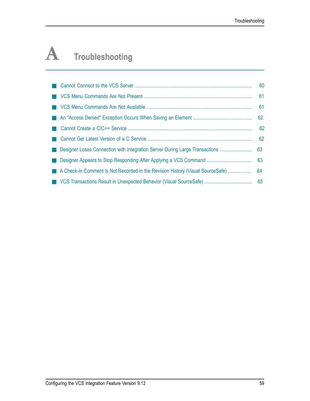# <span id="page-58-0"></span>**A Troubleshooting**

|                                                                                | 62 |
|--------------------------------------------------------------------------------|----|
|                                                                                |    |
|                                                                                |    |
|                                                                                |    |
|                                                                                |    |
| A Check-In Comment Is Not Recorded in the Revision History (Visual SourceSafe) | 64 |
|                                                                                | 65 |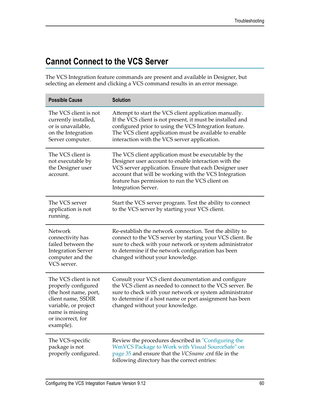# <span id="page-59-0"></span>**Cannot Connect to the VCS Server**

The VCS Integration feature commands are present and available in Designer, but selecting an element and clicking a VCS command results in an error message.

| <b>Possible Cause</b>                                                                                                                                                    | <b>Solution</b>                                                                                                                                                                                                                                                                                                  |
|--------------------------------------------------------------------------------------------------------------------------------------------------------------------------|------------------------------------------------------------------------------------------------------------------------------------------------------------------------------------------------------------------------------------------------------------------------------------------------------------------|
| The VCS client is not<br>currently installed,<br>or is unavailable,<br>on the Integration<br>Server computer.                                                            | Attempt to start the VCS client application manually.<br>If the VCS client is not present, it must be installed and<br>configured prior to using the VCS Integration feature.<br>The VCS client application must be available to enable<br>interaction with the VCS server application.                          |
| The VCS client is<br>not executable by<br>the Designer user<br>account.                                                                                                  | The VCS client application must be executable by the<br>Designer user account to enable interaction with the<br>VCS server application. Ensure that each Designer user<br>account that will be working with the VCS Integration<br>feature has permission to run the VCS client on<br><b>Integration Server.</b> |
| The VCS server<br>application is not<br>running.                                                                                                                         | Start the VCS server program. Test the ability to connect<br>to the VCS server by starting your VCS client.                                                                                                                                                                                                      |
| <b>Network</b><br>connectivity has<br>failed between the<br><b>Integration Server</b><br>computer and the<br>VCS server.                                                 | Re-establish the network connection. Test the ability to<br>connect to the VCS server by starting your VCS client. Be<br>sure to check with your network or system administrator<br>to determine if the network configuration has been<br>changed without your knowledge.                                        |
| The VCS client is not<br>properly configured<br>(the host name, port,<br>client name, SSDIR<br>variable, or project<br>name is missing<br>or incorrect, for<br>example). | Consult your VCS client documentation and configure<br>the VCS client as needed to connect to the VCS server. Be<br>sure to check with your network or system administrator<br>to determine if a host name or port assignment has been<br>changed without your knowledge.                                        |
| The VCS-specific<br>package is not<br>properly configured.                                                                                                               | Review the procedures described in "Configuring the<br>WmVCS Package to Work with Visual SourceSafe" on<br>page 35 and ensure that the VCSname .cnf file in the<br>following directory has the correct entries:                                                                                                  |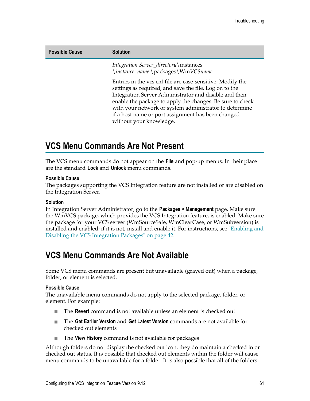| <b>Possible Cause</b> | <b>Solution</b>                                                                                                                                                                                                                                                                                                                                                                       |
|-----------------------|---------------------------------------------------------------------------------------------------------------------------------------------------------------------------------------------------------------------------------------------------------------------------------------------------------------------------------------------------------------------------------------|
|                       | <i>Integration Server_directory\instances</i><br>\instance_name\packages\WmVCSname                                                                                                                                                                                                                                                                                                    |
|                       | Entries in the vcs.cnf file are case-sensitive. Modify the<br>settings as required, and save the file. Log on to the<br>Integration Server Administrator and disable and then<br>enable the package to apply the changes. Be sure to check<br>with your network or system administrator to determine<br>if a host name or port assignment has been changed<br>without your knowledge. |

# <span id="page-60-0"></span>**VCS Menu Commands Are Not Present**

The VCS menu commands do not appear on the **File** and pop-up menus. In their place are the standard **Lock** and **Unlock** menu commands.

### **Possible Cause**

The packages supporting the VCS Integration feature are not installed or are disabled on the Integration Server.

### **Solution**

In Integration Server Administrator, go to the **Packages > Management** page. Make sure the WmVCS package, which provides the VCS Integration feature, is enabled. Make sure the package for your VCS server (WmSourceSafe, WmClearCase, or WmSubversion) is installed and enabled; if it is not, install and enable it. For instructions, see ["Enabling and](#page-41-1) Disabling the VCS [Integration](#page-41-1) Packages" on page 42.

# <span id="page-60-1"></span>**VCS Menu Commands Are Not Available**

Some VCS menu commands are present but unavailable (grayed out) when a package, folder, or element is selected.

### **Possible Cause**

The unavailable menu commands do not apply to the selected package, folder, or element. For example:

- $\blacksquare$ The **Revert** command is not available unless an element is checked out
- The **Get Earlier Version** and **Get Latest Version** commands are not available for ш checked out elements
- The **View History** command is not available for packages п

Although folders do not display the checked out icon, they do maintain a checked in or checked out status. It is possible that checked out elements within the folder will cause menu commands to be unavailable for a folder. It is also possible that all of the folders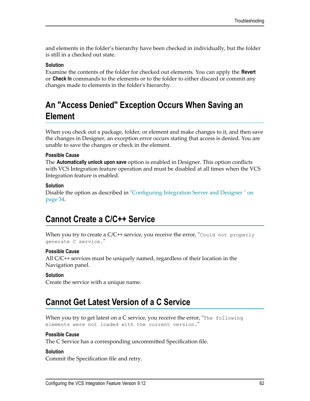and elements in the folder's hierarchy have been checked in individually, but the folder is still in a checked out state.

#### **Solution**

Examine the contents of the folder for checked out elements. You can apply the **Revert** or **Check In** commands to the elements or to the folder to either discard or commit any changes made to elements in the folder's hierarchy.

# <span id="page-61-0"></span>**An "Access Denied" Exception Occurs When Saving an Element**

When you check out a package, folder, or element and make changes to it, and then save the changes in Designer, an exception error occurs stating that access is denied. You are unable to save the changes or check in the element.

#### **Possible Cause**

The **Automatically unlock upon save** option is enabled in Designer. This option conflicts with VCS Integration feature operation and must be disabled at all times when the VCS Integration feature is enabled.

#### **Solution**

Disable the option as described in ["Configuring](#page-33-1) Integration Server and Designer " on [page 34](#page-33-1).

### <span id="page-61-1"></span>**Cannot Create a C/C++ Service**

When you try to create a  $C/C^{++}$  service, you receive the error, "Could not properly generate C service."

#### **Possible Cause**

All C/C++ services must be uniquely named, regardless of their location in the Navigation panel.

#### **Solution**

Create the service with a unique name.

### <span id="page-61-2"></span>**Cannot Get Latest Version of a C Service**

When you try to get latest on a C service, you receive the error, "The following" elements were not loaded with the current version."

#### **Possible Cause**

The C Service has a corresponding uncommitted Specification file.

#### **Solution**

Commit the Specification file and retry.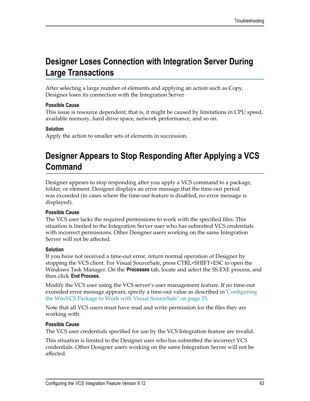# <span id="page-62-0"></span>**Designer Loses Connection with Integration Server During Large Transactions**

After selecting a large number of elements and applying an action such as Copy, Designer loses its connection with the Integration Server

### **Possible Cause**

This issue is resource dependent; that is, it might be caused by limitations in CPU speed, available memory, hard drive space, network performance, and so on.

### **Solution**

Apply the action to smaller sets of elements in succession.

# <span id="page-62-1"></span>**Designer Appears to Stop Responding After Applying a VCS Command**

Designer appears to stop responding after you apply a VCS command to a package, folder, or element. Designer displays an error message that the time-out period was exceeded (in cases where the time-out feature is disabled, no error message is displayed).

### **Possible Cause**

The VCS user lacks the required permissions to work with the specified files. This situation is limited to the Integration Server user who has submitted VCS credentials with incorrect permissions. Other Designer users working on the same Integration Server will not be affected.

### **Solution**

If you have not received a time-out error, return normal operation of Designer by stopping the VCS client. For Visual SourceSafe, press CTRL+SHIFT+ESC to open the Windows Task Manager. On the **Processes** tab, locate and select the SS.EXE process, and then click **End Process**.

Modify the VCS user using the VCS server's user management feature. If no time-out exceeded error message appears, specify a time-out value as described i[n"Configuring](#page-34-0) the WmVCS Package to Work with Visual [SourceSafe"](#page-34-0) on page 35.

Note that all VCS users must have read and write permission for the files they are working with.

### **Possible Cause**

The VCS user credentials specified for use by the VCS Integration feature are invalid.

This situation is limited to the Designer user who has submitted the incorrect VCS credentials. Other Designer users working on the same Integration Server will not be affected.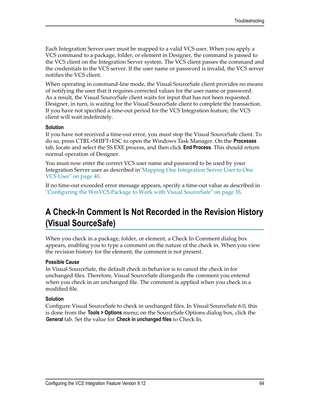Each Integration Server user must be mapped to a valid VCS user. When you apply a VCS command to a package, folder, or element in Designer, the command is passed to the VCS client on the Integration Server system. The VCS client passes the command and the credentials to the VCS server. If the user name or password is invalid, the VCS server notifies the VCS client.

When operating in command-line mode, the Visual SourceSafe client provides no means of notifying the user that it requires corrected values for the user name or password. As a result, the Visual SourceSafe client waits for input that has not been requested. Designer, in turn, is waiting for the Visual SourceSafe client to complete the transaction. If you have not specified a time-out period for the VCS Integration feature, the VCS client will wait indefinitely.

#### **Solution**

If you have not received a time-out error, you must stop the Visual SourceSafe client. To do so, press CTRL+SHIFT+ESC to open the Windows Task Manager. On the **Processes** tab, locate and select the SS.EXE process, and then click **End Process**. This should return normal operation of Designer.

You must now enter the correct VCS user name and password to be used by your Integration Server user as described in"Mapping One [Integration](#page-39-2) Server User to One [VCS User" on page 40](#page-39-2).

If no time-out exceeded error message appears, specify a time-out value as described in ["Configuring](#page-34-0) the WmVCS Package to Work with Visual SourceSafe" on page 35.

# <span id="page-63-0"></span>**A Check-In Comment Is Not Recorded in the Revision History (Visual SourceSafe)**

When you check in a package, folder, or element, a Check In Comment dialog box appears, enabling you to type a comment on the nature of the check in. When you view the revision history for the element, the comment is not present.

### **Possible Cause**

In Visual SourceSafe, the default check in behavior is to cancel the check in for unchanged files. Therefore, Visual SourceSafe disregards the comment you entered when you check in an unchanged file. The comment is applied when you check in a modified file.

#### **Solution**

Configure Visual SourceSafe to check in unchanged files. In Visual SourceSafe 6.0, this is done from the **Tools > Options** menu; on the SourceSafe Options dialog box, click the **General** tab. Set the value for **Check in unchanged files** to Check In.